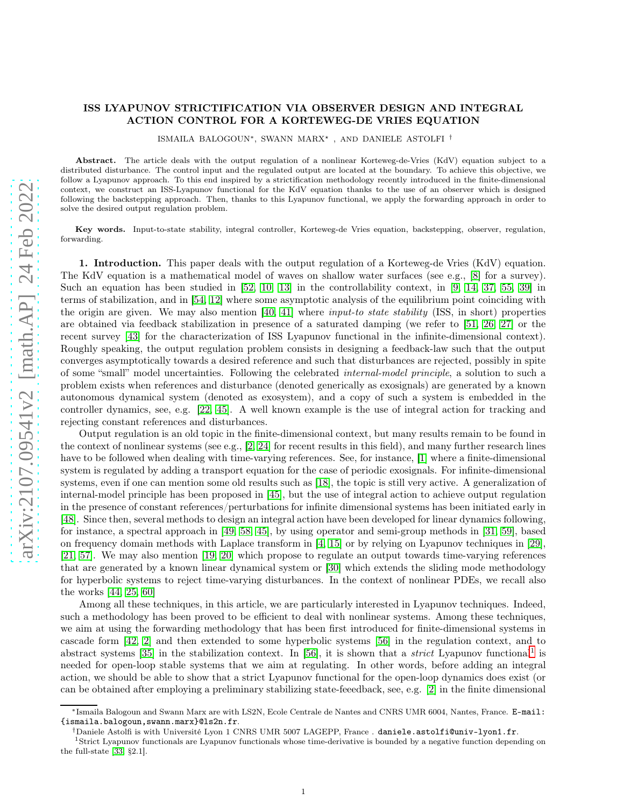## ISS LYAPUNOV STRICTIFICATION VIA OBSERVER DESIGN AND INTEGRAL ACTION CONTROL FOR A KORTEWEG-DE VRIES EQUATION

ISMAILA BALOGOUN∗, SWANN MARX<sup>⋆</sup> , AND DANIELE ASTOLFI †

Abstract. The article deals with the output regulation of a nonlinear Korteweg-de-Vries (KdV) equation subject to a distributed disturbance. The control input and the regulated output are located at the boundary. To achieve this objective, we follow a Lyapunov approach. To this end inspired by a strictification methodology recently introduced in the finite-dimensional context, we construct an ISS-Lyapunov functional for the KdV equation thanks to the use of an observer which is designed following the backstepping approach. Then, thanks to this Lyapunov functional, we apply the forwarding approach in order to solve the desired output regulation problem.

Key words. Input-to-state stability, integral controller, Korteweg-de Vries equation, backstepping, observer, regulation, forwarding.

1. Introduction. This paper deals with the output regulation of a Korteweg-de Vries (KdV) equation. The KdV equation is a mathematical model of waves on shallow water surfaces (see e.g., [\[8\]](#page-23-0) for a survey). Such an equation has been studied in [\[52,](#page-25-0) [10,](#page-23-1) [13\]](#page-24-0) in the controllability context, in [\[9,](#page-23-2) [14,](#page-24-1) [37,](#page-24-2) [55,](#page-25-1) [39\]](#page-24-3) in terms of stabilization, and in [\[54,](#page-25-2) [12\]](#page-24-4) where some asymptotic analysis of the equilibrium point coinciding with the origin are given. We may also mention [\[40,](#page-24-5) [41\]](#page-24-6) where *input-to state stability* (ISS, in short) properties are obtained via feedback stabilization in presence of a saturated damping (we refer to [\[51,](#page-25-3) [26,](#page-24-7) [27\]](#page-24-8) or the recent survey [\[43\]](#page-24-9) for the characterization of ISS Lyapunov functional in the infinite-dimensional context). Roughly speaking, the output regulation problem consists in designing a feedback-law such that the output converges asymptotically towards a desired reference and such that disturbances are rejected, possibly in spite of some "small" model uncertainties. Following the celebrated internal-model principle, a solution to such a problem exists when references and disturbance (denoted generically as exosignals) are generated by a known autonomous dynamical system (denoted as exosystem), and a copy of such a system is embedded in the controller dynamics, see, e.g. [\[22,](#page-24-10) [45\]](#page-24-11). A well known example is the use of integral action for tracking and rejecting constant references and disturbances.

Output regulation is an old topic in the finite-dimensional context, but many results remain to be found in the context of nonlinear systems (see e.g., [\[2,](#page-23-3) [24\]](#page-24-12) for recent results in this field), and many further research lines have to be followed when dealing with time-varying references. See, for instance, [\[1\]](#page-23-4) where a finite-dimensional system is regulated by adding a transport equation for the case of periodic exosignals. For infinite-dimensional systems, even if one can mention some old results such as [\[18\]](#page-24-13), the topic is still very active. A generalization of internal-model principle has been proposed in [\[45\]](#page-24-11), but the use of integral action to achieve output regulation in the presence of constant references/perturbations for infinite dimensional systems has been initiated early in [\[48\]](#page-25-4). Since then, several methods to design an integral action have been developed for linear dynamics following, for instance, a spectral approach in [\[49,](#page-25-5) [58,](#page-25-6) [45\]](#page-24-11), by using operator and semi-group methods in [\[31,](#page-24-14) [59\]](#page-25-7), based on frequency domain methods with Laplace transform in [\[4,](#page-23-5) [15\]](#page-24-15) or by relying on Lyapunov techniques in [\[29\]](#page-24-16), [\[21,](#page-24-17) [57\]](#page-25-8). We may also mention [\[19,](#page-24-18) [20\]](#page-24-19) which propose to regulate an output towards time-varying references that are generated by a known linear dynamical system or [\[30\]](#page-24-20) which extends the sliding mode methodology for hyperbolic systems to reject time-varying disturbances. In the context of nonlinear PDEs, we recall also the works [\[44,](#page-24-21) [25,](#page-24-22) [60\]](#page-25-9)

Among all these techniques, in this article, we are particularly interested in Lyapunov techniques. Indeed, such a methodology has been proved to be efficient to deal with nonlinear systems. Among these techniques, we aim at using the forwarding methodology that has been first introduced for finite-dimensional systems in cascade form [\[42,](#page-24-23) [2\]](#page-23-3) and then extended to some hyperbolic systems [\[56\]](#page-25-10) in the regulation context, and to abstract systems  $[35]$  in the stabilization context. In [\[56\]](#page-25-10), it is shown that a *strict* Lyapunov functional<sup>[1](#page-0-0)</sup> is needed for open-loop stable systems that we aim at regulating. In other words, before adding an integral action, we should be able to show that a strict Lyapunov functional for the open-loop dynamics does exist (or can be obtained after employing a preliminary stabilizing state-feeedback, see, e.g. [\[2\]](#page-23-3) in the finite dimensional

<sup>∗</sup> Ismaila Balogoun and Swann Marx are with LS2N, Ecole Centrale de Nantes and CNRS UMR 6004, Nantes, France. E-mail: {ismaila.balogoun,swann.marx}@ls2n.fr.

<sup>†</sup>Daniele Astolfi is with Université Lyon 1 CNRS UMR 5007 LAGEPP, France . daniele.astolfi@univ-lyon1.fr.

<span id="page-0-0"></span><sup>1</sup>Strict Lyapunov functionals are Lyapunov functionals whose time-derivative is bounded by a negative function depending on the full-state [\[33,](#page-24-25) §2.1].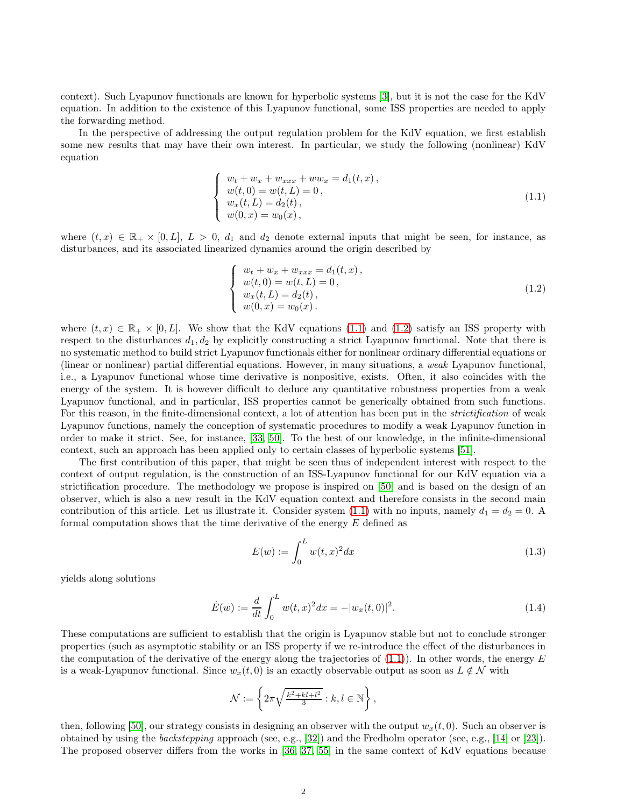context). Such Lyapunov functionals are known for hyperbolic systems [\[3\]](#page-23-6), but it is not the case for the KdV equation. In addition to the existence of this Lyapunov functional, some ISS properties are needed to apply the forwarding method.

In the perspective of addressing the output regulation problem for the KdV equation, we first establish some new results that may have their own interest. In particular, we study the following (nonlinear) KdV equation

<span id="page-1-0"></span>
$$
\begin{cases}\nw_t + w_x + w_{xxx} + ww_x = d_1(t, x), \\
w(t, 0) = w(t, L) = 0, \\
w_x(t, L) = d_2(t), \\
w(0, x) = w_0(x),\n\end{cases}
$$
\n(1.1)

where  $(t, x) \in \mathbb{R}_+ \times [0, L], L > 0, d_1$  and  $d_2$  denote external inputs that might be seen, for instance, as disturbances, and its associated linearized dynamics around the origin described by

<span id="page-1-1"></span>
$$
\begin{cases}\nw_t + w_x + w_{xxx} = d_1(t, x), \\
w(t, 0) = w(t, L) = 0, \\
w_x(t, L) = d_2(t), \\
w(0, x) = w_0(x).\n\end{cases}
$$
\n(1.2)

where  $(t, x) \in \mathbb{R}_+ \times [0, L]$ . We show that the KdV equations [\(1.1\)](#page-1-0) and [\(1.2\)](#page-1-1) satisfy an ISS property with respect to the disturbances  $d_1, d_2$  by explicitly constructing a strict Lyapunov functional. Note that there is no systematic method to build strict Lyapunov functionals either for nonlinear ordinary differential equations or (linear or nonlinear) partial differential equations. However, in many situations, a weak Lyapunov functional, i.e., a Lyapunov functional whose time derivative is nonpositive, exists. Often, it also coincides with the energy of the system. It is however difficult to deduce any quantitative robustness properties from a weak Lyapunov functional, and in particular, ISS properties cannot be generically obtained from such functions. For this reason, in the finite-dimensional context, a lot of attention has been put in the *strictification* of weak Lyapunov functions, namely the conception of systematic procedures to modify a weak Lyapunov function in order to make it strict. See, for instance, [\[33,](#page-24-25) [50\]](#page-25-11). To the best of our knowledge, in the infinite-dimensional context, such an approach has been applied only to certain classes of hyperbolic systems [\[51\]](#page-25-3).

The first contribution of this paper, that might be seen thus of independent interest with respect to the context of output regulation, is the construction of an ISS-Lyapunov functional for our KdV equation via a strictification procedure. The methodology we propose is inspired on [\[50\]](#page-25-11) and is based on the design of an observer, which is also a new result in the KdV equation context and therefore consists in the second main contribution of this article. Let us illustrate it. Consider system [\(1.1\)](#page-1-0) with no inputs, namely  $d_1 = d_2 = 0$ . A formal computation shows that the time derivative of the energy  $E$  defined as

<span id="page-1-2"></span>
$$
E(w) := \int_0^L w(t, x)^2 dx
$$
 (1.3)

yields along solutions

<span id="page-1-3"></span>
$$
\dot{E}(w) := \frac{d}{dt} \int_0^L w(t, x)^2 dx = -|w_x(t, 0)|^2.
$$
\n(1.4)

These computations are sufficient to establish that the origin is Lyapunov stable but not to conclude stronger properties (such as asymptotic stability or an ISS property if we re-introduce the effect of the disturbances in the computation of the derivative of the energy along the trajectories of  $(1.1)$ ). In other words, the energy E is a weak-Lyapunov functional. Since  $w_x(t, 0)$  is an exactly observable output as soon as  $L \notin \mathcal{N}$  with

$$
\mathcal{N}:=\left\{2\pi\sqrt{\frac{k^2+kl+l^2}{3}}:k,l\in\mathbb{N}\right\},\,
$$

then, following [\[50\]](#page-25-11), our strategy consists in designing an observer with the output  $w_x(t, 0)$ . Such an observer is obtained by using the backstepping approach (see, e.g., [\[32\]](#page-24-26)) and the Fredholm operator (see, e.g., [\[14\]](#page-24-1) or [\[23\]](#page-24-27)). The proposed observer differs from the works in [\[36,](#page-24-28) [37,](#page-24-2) [55\]](#page-25-1) in the same context of KdV equations because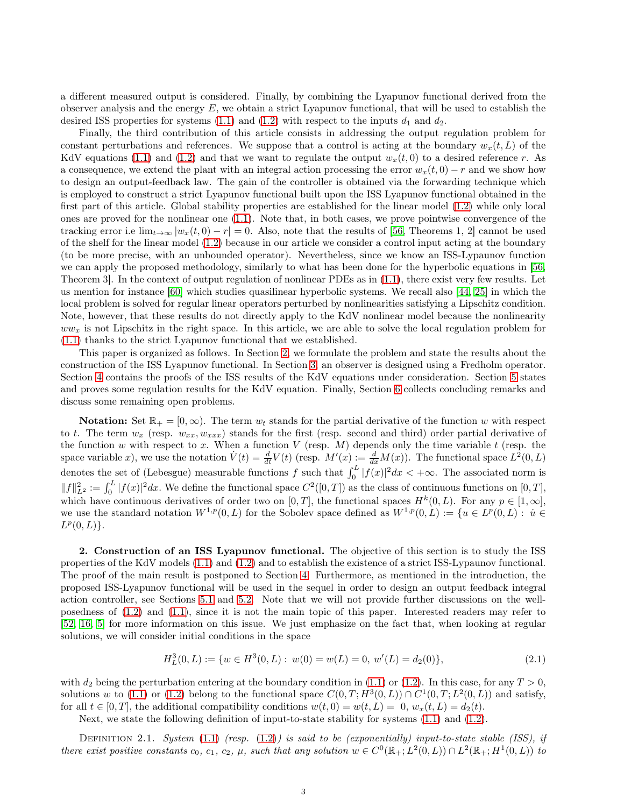a different measured output is considered. Finally, by combining the Lyapunov functional derived from the observer analysis and the energy  $E$ , we obtain a strict Lyapunov functional, that will be used to establish the desired ISS properties for systems [\(1.1\)](#page-1-0) and [\(1.2\)](#page-1-1) with respect to the inputs  $d_1$  and  $d_2$ .

Finally, the third contribution of this article consists in addressing the output regulation problem for constant perturbations and references. We suppose that a control is acting at the boundary  $w_x(t, L)$  of the KdV equations [\(1.1\)](#page-1-0) and [\(1.2\)](#page-1-1) and that we want to regulate the output  $w_x(t, 0)$  to a desired reference r. As a consequence, we extend the plant with an integral action processing the error  $w_x(t, 0) - r$  and we show how to design an output-feedback law. The gain of the controller is obtained via the forwarding technique which is employed to construct a strict Lyapunov functional built upon the ISS Lyapunov functional obtained in the first part of this article. Global stability properties are established for the linear model [\(1.2\)](#page-1-1) while only local ones are proved for the nonlinear one [\(1.1\)](#page-1-0). Note that, in both cases, we prove pointwise convergence of the tracking error i.e  $\lim_{t\to\infty} |w_x(t,0)-r|=0$ . Also, note that the results of [\[56,](#page-25-10) Theorems 1, 2] cannot be used of the shelf for the linear model [\(1.2\)](#page-1-1) because in our article we consider a control input acting at the boundary (to be more precise, with an unbounded operator). Nevertheless, since we know an ISS-Lypaunov function we can apply the proposed methodology, similarly to what has been done for the hyperbolic equations in [\[56,](#page-25-10) Theorem 3]. In the context of output regulation of nonlinear PDEs as in [\(1.1\)](#page-1-0), there exist very few results. Let us mention for instance [\[60\]](#page-25-9) which studies quasilinear hyperbolic systems. We recall also [\[44,](#page-24-21) [25\]](#page-24-22) in which the local problem is solved for regular linear operators perturbed by nonlinearities satisfying a Lipschitz condition. Note, however, that these results do not directly apply to the KdV nonlinear model because the nonlinearity  $ww_x$  is not Lipschitz in the right space. In this article, we are able to solve the local regulation problem for [\(1.1\)](#page-1-0) thanks to the strict Lyapunov functional that we established.

This paper is organized as follows. In Section [2,](#page-2-0) we formulate the problem and state the results about the construction of the ISS Lyapunov functional. In Section [3,](#page-4-0) an observer is designed using a Fredholm operator. Section [4](#page-9-0) contains the proofs of the ISS results of the KdV equations under consideration. Section [5](#page-11-0) states and proves some regulation results for the KdV equation. Finally, Section [6](#page-23-7) collects concluding remarks and discuss some remaining open problems.

**Notation:** Set  $\mathbb{R}_+ = [0, \infty)$ . The term  $w_t$  stands for the partial derivative of the function w with respect to t. The term  $w_x$  (resp.  $w_{xx}, w_{xxx}$ ) stands for the first (resp. second and third) order partial derivative of the function w with respect to x. When a function V (resp. M) depends only the time variable t (resp. the space variable x), we use the notation  $\dot{V}(t) = \frac{d}{dt} V(t)$  (resp.  $M'(x) := \frac{d}{dx} M(x)$ ). The functional space  $L^2(0, L)$ denotes the set of (Lebesgue) measurable functions f such that  $\int_0^L |f(x)|^2 dx < +\infty$ . The associated norm is  $||f||_{L^2}^2 := \int_0^L |f(x)|^2 dx$ . We define the functional space  $C^2([0,T])$  as the class of continuous functions on  $[0,T]$ , which have continuous derivatives of order two on  $[0, T]$ , the functional spaces  $H^k(0, L)$ . For any  $p \in [1, \infty]$ , we use the standard notation  $W^{1,p}(0,L)$  for the Sobolev space defined as  $W^{1,p}(0,L) := \{u \in L^p(0,L) : u \in L^p(0,L) : u \in L^p(0,L) : u \in L^p(0,L) \}$  $L^p(0,L)\}.$ 

<span id="page-2-0"></span>2. Construction of an ISS Lyapunov functional. The objective of this section is to study the ISS properties of the KdV models [\(1.1\)](#page-1-0) and [\(1.2\)](#page-1-1) and to establish the existence of a strict ISS-Lypaunov functional. The proof of the main result is postponed to Section [4.](#page-9-0) Furthermore, as mentioned in the introduction, the proposed ISS-Lyapunov functional will be used in the sequel in order to design an output feedback integral action controller, see Sections [5.1](#page-11-1) and [5.2.](#page-17-0) Note that we will not provide further discussions on the wellposedness of [\(1.2\)](#page-1-1) and [\(1.1\)](#page-1-0), since it is not the main topic of this paper. Interested readers may refer to [\[52,](#page-25-0) [16,](#page-24-29) [5\]](#page-23-8) for more information on this issue. We just emphasize on the fact that, when looking at regular solutions, we will consider initial conditions in the space

<span id="page-2-2"></span>
$$
H_L^3(0,L) := \{ w \in H^3(0,L) : w(0) = w(L) = 0, w'(L) = d_2(0) \},
$$
\n(2.1)

with  $d_2$  being the perturbation entering at the boundary condition in [\(1.1\)](#page-1-0) or [\(1.2\)](#page-1-1). In this case, for any  $T > 0$ , solutions w to [\(1.1\)](#page-1-0) or [\(1.2\)](#page-1-1) belong to the functional space  $C(0,T;H^3(0,L)) \cap C^1(0,T;L^2(0,L))$  and satisfy, for all  $t \in [0, T]$ , the additional compatibility conditions  $w(t, 0) = w(t, L) = 0$ ,  $w_x(t, L) = d_2(t)$ .

Next, we state the following definition of input-to-state stability for systems [\(1.1\)](#page-1-0) and [\(1.2\)](#page-1-1).

<span id="page-2-1"></span>DEFINITION 2.1. System  $(1.1)$  (resp.  $(1.2)$ ) is said to be (exponentially) input-to-state stable (ISS), if there exist positive constants  $c_0$ ,  $c_1$ ,  $c_2$ ,  $\mu$ , such that any solution  $w \in C^0(\mathbb{R}_+; L^2(0,L)) \cap L^2(\mathbb{R}_+; H^1(0,L))$  to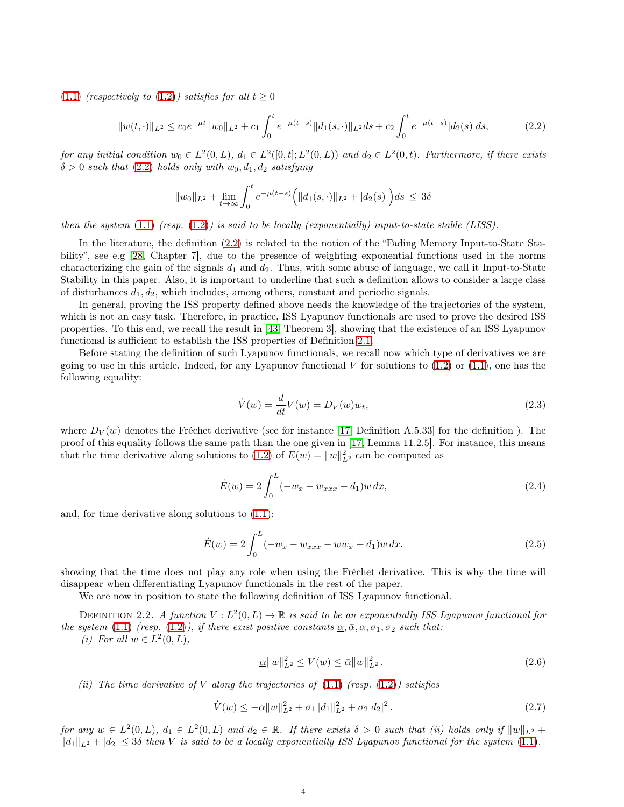[\(1.1\)](#page-1-0) (respectively to [\(1.2\)](#page-1-1)) satisfies for all  $t \geq 0$ 

<span id="page-3-0"></span>
$$
||w(t, \cdot)||_{L^2} \le c_0 e^{-\mu t} ||w_0||_{L^2} + c_1 \int_0^t e^{-\mu(t-s)} ||d_1(s, \cdot)||_{L^2} ds + c_2 \int_0^t e^{-\mu(t-s)} |d_2(s)| ds, \tag{2.2}
$$

for any initial condition  $w_0 \in L^2(0, L)$ ,  $d_1 \in L^2([0, t]; L^2(0, L))$  and  $d_2 \in L^2(0, t)$ . Furthermore, if there exists  $\delta > 0$  such that [\(2.2\)](#page-3-0) holds only with  $w_0, d_1, d_2$  satisfying

$$
||w_0||_{L^2} + \lim_{t \to \infty} \int_0^t e^{-\mu(t-s)} \Big( ||d_1(s, \cdot)||_{L^2} + |d_2(s)| \Big) ds \leq 3\delta
$$

then the system  $(1.1)$  (resp.  $(1.2)$ ) is said to be locally (exponentially) input-to-state stable (LISS).

In the literature, the definition [\(2.2\)](#page-3-0) is related to the notion of the "Fading Memory Input-to-State Stability", see e.g [\[28,](#page-24-30) Chapter 7], due to the presence of weighting exponential functions used in the norms characterizing the gain of the signals  $d_1$  and  $d_2$ . Thus, with some abuse of language, we call it Input-to-State Stability in this paper. Also, it is important to underline that such a definition allows to consider a large class of disturbances  $d_1, d_2$ , which includes, among others, constant and periodic signals.

In general, proving the ISS property defined above needs the knowledge of the trajectories of the system, which is not an easy task. Therefore, in practice, ISS Lyapunov functionals are used to prove the desired ISS properties. To this end, we recall the result in [\[43,](#page-24-9) Theorem 3], showing that the existence of an ISS Lyapunov functional is sufficient to establish the ISS properties of Definition [2.1.](#page-2-1)

Before stating the definition of such Lyapunov functionals, we recall now which type of derivatives we are going to use in this article. Indeed, for any Lyapunov functional V for solutions to  $(1.2)$  or  $(1.1)$ , one has the following equality:

<span id="page-3-3"></span>
$$
\dot{V}(w) = \frac{d}{dt}V(w) = D_V(w)w_t,
$$
\n(2.3)

where  $D_V(w)$  denotes the Fréchet derivative (see for instance [\[17,](#page-24-31) Definition A.5.33] for the definition ). The proof of this equality follows the same path than the one given in [\[17,](#page-24-31) Lemma 11.2.5]. For instance, this means that the time derivative along solutions to [\(1.2\)](#page-1-1) of  $E(w) = ||w||_{L^2}^2$  can be computed as

$$
\dot{E}(w) = 2 \int_0^L (-w_x - w_{xxx} + d_1) w \, dx,\tag{2.4}
$$

and, for time derivative along solutions to [\(1.1\)](#page-1-0):

$$
\dot{E}(w) = 2 \int_0^L (-w_x - w_{xxx} - ww_x + d_1) w \, dx. \tag{2.5}
$$

showing that the time does not play any role when using the Fréchet derivative. This is why the time will disappear when differentiating Lyapunov functionals in the rest of the paper.

We are now in position to state the following definition of ISS Lyapunov functional.

DEFINITION 2.2. A function  $V: L^2(0, L) \to \mathbb{R}$  is said to be an exponentially ISS Lyapunov functional for the system [\(1.1\)](#page-1-0) (resp. [\(1.2\)](#page-1-1)), if there exist positive constants  $\underline{\alpha}, \overline{\alpha}, \alpha, \sigma_1, \sigma_2$  such that:

(i) For all  $w \in L^2(0, L)$ ,

<span id="page-3-1"></span>
$$
\underline{\alpha} \|w\|_{L^2}^2 \le V(w) \le \bar{\alpha} \|w\|_{L^2}^2. \tag{2.6}
$$

(ii) The time derivative of V along the trajectories of  $(1.1)$  (resp.  $(1.2)$ ) satisfies

<span id="page-3-2"></span>
$$
\dot{V}(w) \le -\alpha \|w\|_{L^2}^2 + \sigma_1 \|d_1\|_{L^2}^2 + \sigma_2 |d_2|^2.
$$
\n(2.7)

for any  $w \in L^2(0,L)$ ,  $d_1 \in L^2(0,L)$  and  $d_2 \in \mathbb{R}$ . If there exists  $\delta > 0$  such that (ii) holds only if  $||w||_{L^2}$  +  $||d_1||_{L^2} + |d_2| \leq 3\delta$  then V is said to be a locally exponentially ISS Lyapunov functional for the system [\(1.1\)](#page-1-0).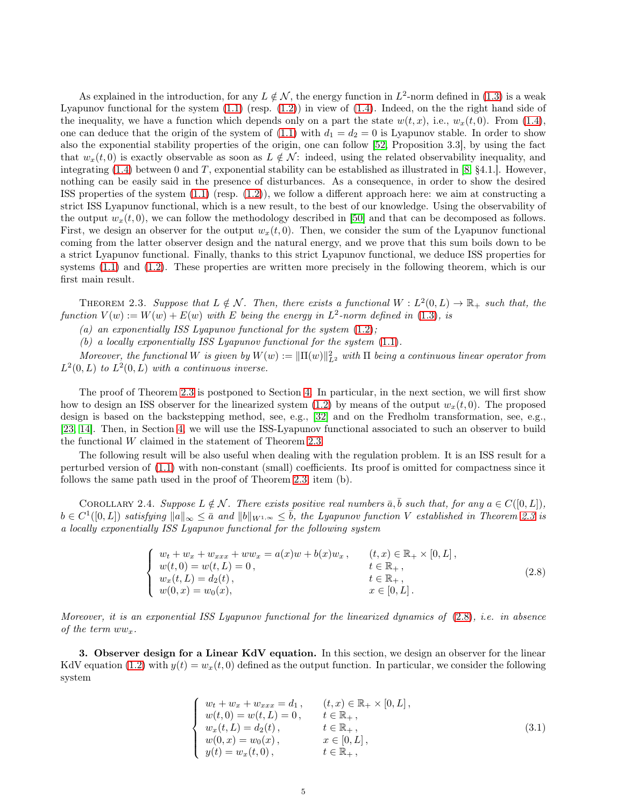As explained in the introduction, for any  $L \notin \mathcal{N}$ , the energy function in  $L^2$ -norm defined in [\(1.3\)](#page-1-2) is a weak Lyapunov functional for the system  $(1.1)$  (resp.  $(1.2)$ ) in view of  $(1.4)$ . Indeed, on the the right hand side of the inequality, we have a function which depends only on a part the state  $w(t, x)$ , i.e.,  $w_x(t, 0)$ . From [\(1.4\)](#page-1-3), one can deduce that the origin of the system of [\(1.1\)](#page-1-0) with  $d_1 = d_2 = 0$  is Lyapunov stable. In order to show also the exponential stability properties of the origin, one can follow [\[52,](#page-25-0) Proposition 3.3], by using the fact that  $w_x(t, 0)$  is exactly observable as soon as  $L \notin \mathcal{N}$ : indeed, using the related observability inequality, and integrating  $(1.4)$  between 0 and T, exponential stability can be established as illustrated in [\[8,](#page-23-0) §4.1.]. However, nothing can be easily said in the presence of disturbances. As a consequence, in order to show the desired ISS properties of the system [\(1.1\)](#page-1-0) (resp. [\(1.2\)](#page-1-1)), we follow a different approach here: we aim at constructing a strict ISS Lyapunov functional, which is a new result, to the best of our knowledge. Using the observability of the output  $w_x(t, 0)$ , we can follow the methodology described in [\[50\]](#page-25-11) and that can be decomposed as follows. First, we design an observer for the output  $w_x(t, 0)$ . Then, we consider the sum of the Lyapunov functional coming from the latter observer design and the natural energy, and we prove that this sum boils down to be a strict Lyapunov functional. Finally, thanks to this strict Lyapunov functional, we deduce ISS properties for systems [\(1.1\)](#page-1-0) and [\(1.2\)](#page-1-1). These properties are written more precisely in the following theorem, which is our first main result.

<span id="page-4-1"></span>THEOREM 2.3. Suppose that  $L \notin \mathcal{N}$ . Then, there exists a functional  $W : L^2(0,L) \to \mathbb{R}_+$  such that, the function  $V(w) := W(w) + E(w)$  with E being the energy in  $L^2$ -norm defined in [\(1.3\)](#page-1-2), is

(a) an exponentially ISS Lyapunov functional for the system  $(1.2)$ ;

(b) a locally exponentially ISS Lyapunov functional for the system [\(1.1\)](#page-1-0).

Moreover, the functional W is given by  $W(w) := ||\Pi(w)||_{L^2}^2$  with  $\Pi$  being a continuous linear operator from  $L^2(0,L)$  to  $L^2(0,L)$  with a continuous inverse.

The proof of Theorem [2.3](#page-4-1) is postponed to Section [4.](#page-9-0) In particular, in the next section, we will first show how to design an ISS observer for the linearized system [\(1.2\)](#page-1-1) by means of the output  $w_x(t, 0)$ . The proposed design is based on the backstepping method, see, e.g., [\[32\]](#page-24-26) and on the Fredholm transformation, see, e.g., [\[23,](#page-24-27) [14\]](#page-24-1). Then, in Section [4,](#page-9-0) we will use the ISS-Lyapunov functional associated to such an observer to build the functional W claimed in the statement of Theorem [2.3.](#page-4-1)

The following result will be also useful when dealing with the regulation problem. It is an ISS result for a perturbed version of [\(1.1\)](#page-1-0) with non-constant (small) coefficients. Its proof is omitted for compactness since it follows the same path used in the proof of Theorem [2.3,](#page-4-1) item (b).

<span id="page-4-4"></span>COROLLARY 2.4. Suppose  $L \notin \mathcal{N}$ . There exists positive real numbers  $\bar{a}, \bar{b}$  such that, for any  $a \in C([0, L]),$  $b \in C^1([0,L])$  satisfying  $||a||_{\infty} \leq \overline{a}$  and  $||b||_{W^{1,\infty}} \leq \overline{b}$ , the Lyapunov function V established in Theorem [2.3](#page-4-1) is a locally exponentially ISS Lyapunov functional for the following system

<span id="page-4-2"></span>
$$
\begin{cases}\nw_t + w_x + w_{xxx} + ww_x = a(x)w + b(x)w_x, & (t, x) \in \mathbb{R}_+ \times [0, L], \\
w(t, 0) = w(t, L) = 0, & t \in \mathbb{R}_+, \\
w_x(t, L) = d_2(t), & t \in \mathbb{R}_+, \\
w(0, x) = w_0(x), & x \in [0, L].\n\end{cases}
$$
\n(2.8)

Moreover, it is an exponential ISS Lyapunov functional for the linearized dynamics of [\(2.8\)](#page-4-2), i.e. in absence of the term  $ww_x$ .

<span id="page-4-0"></span>3. Observer design for a Linear KdV equation. In this section, we design an observer for the linear KdV equation [\(1.2\)](#page-1-1) with  $y(t) = w_x(t, 0)$  defined as the output function. In particular, we consider the following system

<span id="page-4-3"></span>
$$
\begin{cases}\nw_t + w_x + w_{xxx} = d_1, & (t, x) \in \mathbb{R}_+ \times [0, L], \\
w(t, 0) = w(t, L) = 0, & t \in \mathbb{R}_+, \\
w_x(t, L) = d_2(t), & t \in \mathbb{R}_+, \\
w(0, x) = w_0(x), & x \in [0, L], \\
y(t) = w_x(t, 0), & t \in \mathbb{R}_+, \n\end{cases}
$$
\n(3.1)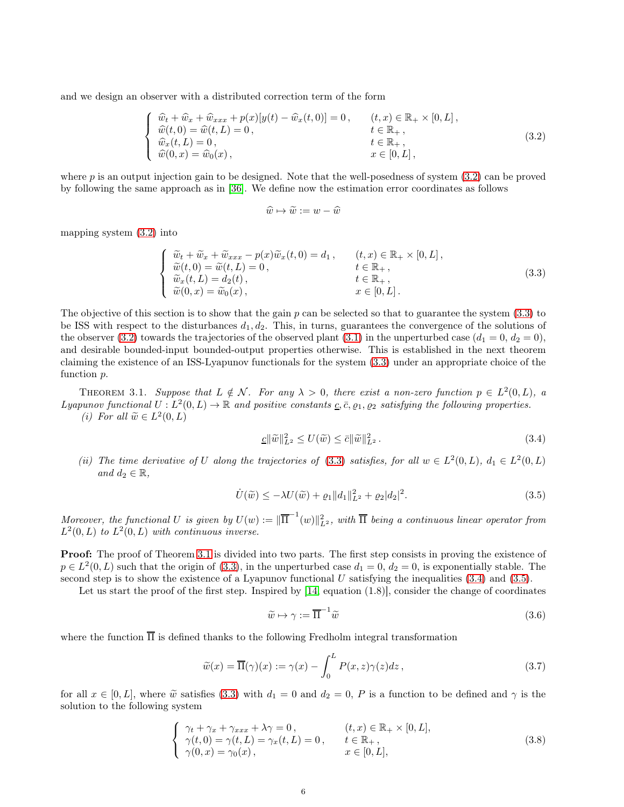and we design an observer with a distributed correction term of the form

<span id="page-5-0"></span>
$$
\begin{cases}\n\widehat{w}_t + \widehat{w}_x + \widehat{w}_{xxx} + p(x)[y(t) - \widehat{w}_x(t,0)] = 0, & (t,x) \in \mathbb{R}_+ \times [0,L], \\
\widehat{w}(t,0) = \widehat{w}(t,L) = 0, & t \in \mathbb{R}_+, \\
\widehat{w}_x(t,L) = 0, & t \in \mathbb{R}_+, \\
\widehat{w}(0,x) = \widehat{w}_0(x), & x \in [0,L],\n\end{cases}
$$
\n(3.2)

where  $p$  is an output injection gain to be designed. Note that the well-posedness of system  $(3.2)$  can be proved by following the same approach as in [\[36\]](#page-24-28). We define now the estimation error coordinates as follows

$$
\widehat{w} \mapsto \widetilde{w} := w - \widehat{w}
$$

mapping system [\(3.2\)](#page-5-0) into

<span id="page-5-1"></span>
$$
\begin{cases}\n\widetilde{w}_t + \widetilde{w}_x + \widetilde{w}_{xxx} - p(x)\widetilde{w}_x(t,0) = d_1, & (t,x) \in \mathbb{R}_+ \times [0,L], \\
\widetilde{w}(t,0) = \widetilde{w}(t,L) = 0, & t \in \mathbb{R}_+, \\
\widetilde{w}_x(t,L) = d_2(t), & t \in \mathbb{R}_+, \\
\widetilde{w}(0,x) = \widetilde{w}_0(x), & x \in [0,L].\n\end{cases}
$$
\n(3.3)

The objective of this section is to show that the gain  $p$  can be selected so that to guarantee the system  $(3.3)$  to be ISS with respect to the disturbances  $d_1, d_2$ . This, in turns, guarantees the convergence of the solutions of the observer [\(3.2\)](#page-5-0) towards the trajectories of the observed plant [\(3.1\)](#page-4-3) in the unperturbed case  $(d_1 = 0, d_2 = 0)$ , and desirable bounded-input bounded-output properties otherwise. This is established in the next theorem claiming the existence of an ISS-Lyapunov functionals for the system [\(3.3\)](#page-5-1) under an appropriate choice of the function p.

<span id="page-5-2"></span>THEOREM 3.1. Suppose that  $L \notin \mathcal{N}$ . For any  $\lambda > 0$ , there exist a non-zero function  $p \in L^2(0,L)$ , a Lyapunov functional  $U: L^2(0,L) \to \mathbb{R}$  and positive constants  $\underline{c}, \overline{c}, \varrho_1, \varrho_2$  satisfying the following properties. (i) For all  $\widetilde{w} \in L^2(0,L)$ 

<span id="page-5-3"></span>
$$
\underline{c} \|\widetilde{w}\|_{L^2}^2 \le U(\widetilde{w}) \le \overline{c} \|\widetilde{w}\|_{L^2}^2. \tag{3.4}
$$

(ii) The time derivative of U along the trajectories of [\(3.3\)](#page-5-1) satisfies, for all  $w \in L^2(0,L)$ ,  $d_1 \in L^2(0,L)$ and  $d_2 \in \mathbb{R}$ ,

<span id="page-5-4"></span>
$$
\dot{U}(\tilde{w}) \le -\lambda U(\tilde{w}) + \varrho_1 \|d_1\|_{L^2}^2 + \varrho_2 |d_2|^2.
$$
\n(3.5)

Moreover, the functional U is given by  $U(w) := \|\overline{\Pi}^{-1}(w)\|_{L^2}^2$ , with  $\overline{\Pi}$  being a continuous linear operator from  $L^2(0,L)$  to  $L^2(0,L)$  with continuous inverse.

Proof: The proof of Theorem [3.1](#page-5-2) is divided into two parts. The first step consists in proving the existence of  $p \in L^2(0, L)$  such that the origin of [\(3.3\)](#page-5-1), in the unperturbed case  $d_1 = 0$ ,  $d_2 = 0$ , is exponentially stable. The second step is to show the existence of a Lyapunov functional U satisfying the inequalities  $(3.4)$  and  $(3.5)$ .

Let us start the proof of the first step. Inspired by [\[14,](#page-24-1) equation (1.8)], consider the change of coordinates

<span id="page-5-7"></span>
$$
\widetilde{w} \mapsto \gamma := \overline{\Pi}^{-1} \widetilde{w} \tag{3.6}
$$

where the function  $\overline{\Pi}$  is defined thanks to the following Fredholm integral transformation

<span id="page-5-6"></span>
$$
\widetilde{w}(x) = \overline{\Pi}(\gamma)(x) := \gamma(x) - \int_0^L P(x, z)\gamma(z)dz, \qquad (3.7)
$$

for all  $x \in [0, L]$ , where  $\tilde{w}$  satisfies [\(3.3\)](#page-5-1) with  $d_1 = 0$  and  $d_2 = 0$ , P is a function to be defined and  $\gamma$  is the solution to the following system

<span id="page-5-5"></span>
$$
\begin{cases}\n\gamma_t + \gamma_x + \gamma_{xxx} + \lambda \gamma = 0, & (t, x) \in \mathbb{R}_+ \times [0, L], \\
\gamma(t, 0) = \gamma(t, L) = \gamma_x(t, L) = 0, & t \in \mathbb{R}_+, \\
\gamma(0, x) = \gamma_0(x), & x \in [0, L],\n\end{cases}
$$
\n(3.8)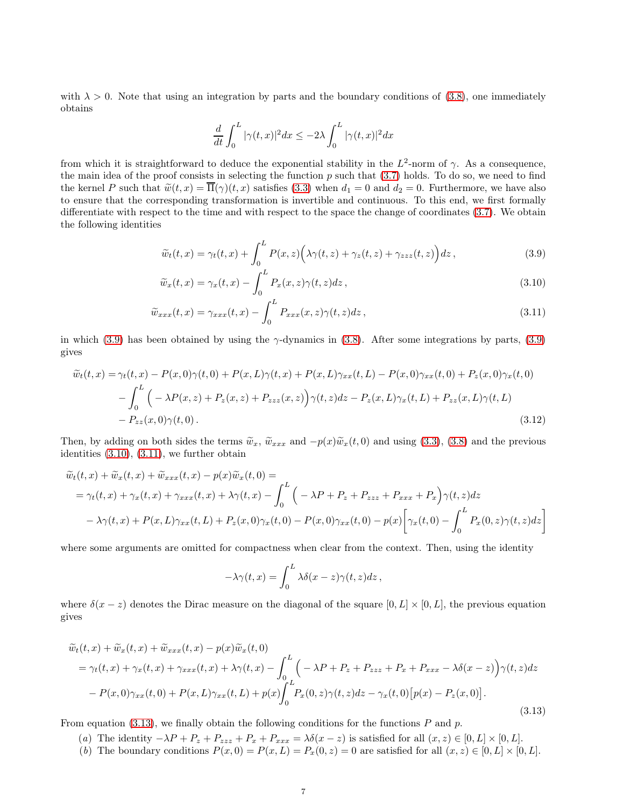with  $\lambda > 0$ . Note that using an integration by parts and the boundary conditions of [\(3.8\)](#page-5-5), one immediately obtains

<span id="page-6-2"></span><span id="page-6-1"></span><span id="page-6-0"></span>
$$
\frac{d}{dt} \int_0^L |\gamma(t,x)|^2 dx \leq - 2 \lambda \int_0^L |\gamma(t,x)|^2 dx
$$

from which it is straightforward to deduce the exponential stability in the  $L^2$ -norm of  $\gamma$ . As a consequence, the main idea of the proof consists in selecting the function  $p$  such that  $(3.7)$  holds. To do so, we need to find the kernel P such that  $\tilde{w}(t, x) = \overline{\Pi}(\gamma)(t, x)$  satisfies [\(3.3\)](#page-5-1) when  $d_1 = 0$  and  $d_2 = 0$ . Furthermore, we have also to ensure that the corresponding transformation is invertible and continuous. To this end, we first formally differentiate with respect to the time and with respect to the space the change of coordinates [\(3.7\)](#page-5-6). We obtain the following identities

$$
\widetilde{w}_t(t,x) = \gamma_t(t,x) + \int_0^L P(x,z) \Big( \lambda \gamma(t,z) + \gamma_z(t,z) + \gamma_{zzz}(t,z) \Big) dz , \qquad (3.9)
$$

$$
\widetilde{w}_x(t,x) = \gamma_x(t,x) - \int_0^L P_x(x,z)\gamma(t,z)dz , \qquad (3.10)
$$

$$
\widetilde{w}_{xxx}(t,x) = \gamma_{xxx}(t,x) - \int_0^L P_{xxx}(x,z)\gamma(t,z)dz, \qquad (3.11)
$$

in which [\(3.9\)](#page-6-0) has been obtained by using the  $\gamma$ -dynamics in [\(3.8\)](#page-5-5). After some integrations by parts, (3.9) gives

$$
\widetilde{w}_t(t,x) = \gamma_t(t,x) - P(x,0)\gamma(t,0) + P(x,L)\gamma(t,x) + P(x,L)\gamma_{xx}(t,L) - P(x,0)\gamma_{xx}(t,0) + P_z(x,0)\gamma_x(t,0) \n- \int_0^L \left( -\lambda P(x,z) + P_z(x,z) + P_{zzz}(x,z) \right) \gamma(t,z) dz - P_z(x,L)\gamma_x(t,L) + P_{zz}(x,L)\gamma(t,L) \n- P_{zz}(x,0)\gamma(t,0).
$$
\n(3.12)

Then, by adding on both sides the terms  $\tilde{w}_x$ ,  $\tilde{w}_{xxx}$  and  $-p(x)\tilde{w}_x(t, 0)$  and using [\(3.3\)](#page-5-1), [\(3.8\)](#page-5-5) and the previous identities [\(3.10\)](#page-6-1), [\(3.11\)](#page-6-2), we further obtain

$$
\widetilde{w}_t(t,x) + \widetilde{w}_x(t,x) + \widetilde{w}_{xxx}(t,x) - p(x)\widetilde{w}_x(t,0) =
$$
\n
$$
= \gamma_t(t,x) + \gamma_x(t,x) + \gamma_{xxx}(t,x) + \lambda\gamma(t,x) - \int_0^L \left( -\lambda P + P_z + P_{zzz} + P_{xxx} + P_x \right) \gamma(t,z) dz
$$
\n
$$
- \lambda\gamma(t,x) + P(x,L)\gamma_{xx}(t,L) + P_z(x,0)\gamma_x(t,0) - P(x,0)\gamma_{xx}(t,0) - p(x) \left[ \gamma_x(t,0) - \int_0^L P_x(0,z)\gamma(t,z) dz \right]
$$

where some arguments are omitted for compactness when clear from the context. Then, using the identity

$$
-\lambda \gamma(t,x) = \int_0^L \lambda \delta(x-z) \gamma(t,z) dz,
$$

where  $\delta(x-z)$  denotes the Dirac measure on the diagonal of the square  $[0, L] \times [0, L]$ , the previous equation gives

<span id="page-6-3"></span>
$$
\widetilde{w}_t(t,x) + \widetilde{w}_x(t,x) + \widetilde{w}_{xxx}(t,x) - p(x)\widetilde{w}_x(t,0)
$$
\n
$$
= \gamma_t(t,x) + \gamma_x(t,x) + \gamma_{xxx}(t,x) + \lambda\gamma(t,x) - \int_0^L \left( -\lambda P + P_z + P_{zzz} + P_x + P_{xxx} - \lambda\delta(x-z) \right) \gamma(t,z) dz
$$
\n
$$
- P(x,0)\gamma_{xx}(t,0) + P(x,L)\gamma_{xx}(t,L) + p(x)\int_0^L P_x(0,z)\gamma(t,z) dz - \gamma_x(t,0)[p(x) - P_z(x,0)].
$$
\n(3.13)

From equation [\(3.13\)](#page-6-3), we finally obtain the following conditions for the functions  $P$  and  $p$ .

- (a) The identity  $-\lambda P + P_z + P_{zzz} + P_x + P_{xxx} = \lambda \delta(x-z)$  is satisfied for all  $(x, z) \in [0, L] \times [0, L]$ .
- (b) The boundary conditions  $P(x, 0) = P(x, L) = P_x(0, z) = 0$  are satisfied for all  $(x, z) \in [0, L] \times [0, L]$ .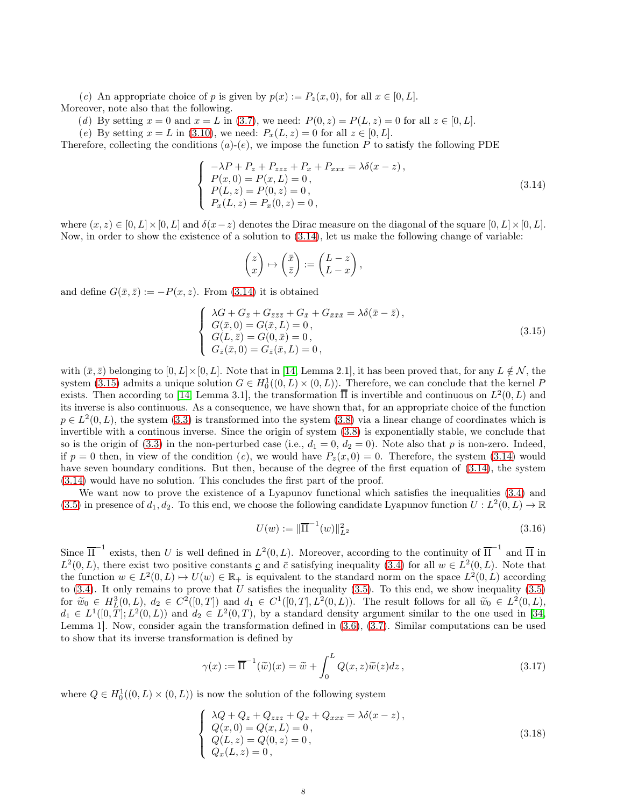(c) An appropriate choice of p is given by  $p(x) := P_z(x, 0)$ , for all  $x \in [0, L]$ . Moreover, note also that the following.

(d) By setting  $x = 0$  and  $x = L$  in [\(3.7\)](#page-5-6), we need:  $P(0, z) = P(L, z) = 0$  for all  $z \in [0, L]$ .

(e) By setting  $x = L$  in [\(3.10\)](#page-6-1), we need:  $P_x(L, z) = 0$  for all  $z \in [0, L]$ .

Therefore, collecting the conditions  $(a)-(e)$ , we impose the function P to satisfy the following PDE

<span id="page-7-0"></span>
$$
\begin{cases}\n-\lambda P + P_z + P_{zzz} + P_x + P_{xxx} = \lambda \delta(x - z), \\
P(x, 0) = P(x, L) = 0, \\
P(L, z) = P(0, z) = 0, \\
P_x(L, z) = P_x(0, z) = 0,\n\end{cases}
$$
\n(3.14)

where  $(x, z) \in [0, L] \times [0, L]$  and  $\delta(x-z)$  denotes the Dirac measure on the diagonal of the square  $[0, L] \times [0, L]$ . Now, in order to show the existence of a solution to [\(3.14\)](#page-7-0), let us make the following change of variable:

$$
\begin{pmatrix} z \\ x \end{pmatrix} \mapsto \begin{pmatrix} \bar{x} \\ \bar{z} \end{pmatrix} := \begin{pmatrix} L - z \\ L - x \end{pmatrix},
$$

and define  $G(\bar{x}, \bar{z}) := -P(x, z)$ . From [\(3.14\)](#page-7-0) it is obtained

<span id="page-7-1"></span>
$$
\begin{cases}\n\lambda G + G_{\bar{z}} + G_{\bar{z}\bar{z}\bar{z}} + G_{\bar{x}} + G_{\bar{x}\bar{x}\bar{x}} = \lambda \delta(\bar{x} - \bar{z}), \\
G(\bar{x}, 0) = G(\bar{x}, L) = 0, \\
G(L, \bar{z}) = G(0, \bar{x}) = 0, \\
G_{\bar{z}}(\bar{x}, 0) = G_{\bar{z}}(\bar{x}, L) = 0,\n\end{cases}
$$
\n(3.15)

with  $(\bar{x}, \bar{z})$  belonging to  $[0, L] \times [0, L]$ . Note that in [\[14,](#page-24-1) Lemma 2.1], it has been proved that, for any  $L \notin \mathcal{N}$ , the system [\(3.15\)](#page-7-1) admits a unique solution  $G \in H_0^1((0, L) \times (0, L))$ . Therefore, we can conclude that the kernel P exists. Then according to [\[14,](#page-24-1) Lemma 3.1], the transformation  $\overline{\Pi}$  is invertible and continuous on  $L^2(0,L)$  and its inverse is also continuous. As a consequence, we have shown that, for an appropriate choice of the function  $p \in L^2(0, L)$ , the system [\(3.3\)](#page-5-1) is transformed into the system [\(3.8\)](#page-5-5) via a linear change of coordinates which is invertible with a continous inverse. Since the origin of system [\(3.8\)](#page-5-5) is exponentially stable, we conclude that so is the origin of [\(3.3\)](#page-5-1) in the non-perturbed case (i.e.,  $d_1 = 0$ ,  $d_2 = 0$ ). Note also that p is non-zero. Indeed, if  $p = 0$  then, in view of the condition (c), we would have  $P_z(x, 0) = 0$ . Therefore, the system [\(3.14\)](#page-7-0) would have seven boundary conditions. But then, because of the degree of the first equation of [\(3.14\)](#page-7-0), the system [\(3.14\)](#page-7-0) would have no solution. This concludes the first part of the proof.

We want now to prove the existence of a Lyapunov functional which satisfies the inequalities [\(3.4\)](#page-5-3) and [\(3.5\)](#page-5-4) in presence of  $d_1, d_2$ . To this end, we choose the following candidate Lyapunov function  $U: L^2(0,L) \to \mathbb{R}$ 

<span id="page-7-4"></span>
$$
U(w) := \|\overline{\Pi}^{-1}(w)\|_{L^2}^2 \tag{3.16}
$$

Since  $\overline{\Pi}^{-1}$  exists, then U is well defined in  $L^2(0,L)$ . Moreover, according to the continuity of  $\overline{\Pi}^{-1}$  and  $\overline{\Pi}$  in  $L^2(0,L)$ , there exist two positive constants c and  $\bar{c}$  satisfying inequality [\(3.4\)](#page-5-3) for all  $w \in L^2(0,L)$ . Note that the function  $w \in L^2(0,L) \mapsto U(w) \in \mathbb{R}_+$  is equivalent to the standard norm on the space  $L^2(0,L)$  according to  $(3.4)$ . It only remains to prove that U satisfies the inequality  $(3.5)$ . To this end, we show inequality  $(3.5)$ for  $\tilde{w}_0 \in H_L^3(0, L)$ ,  $d_2 \in C^2([0, T])$  and  $d_1 \in C^1([0, T], L^2(0, L))$ . The result follows for all  $\tilde{w}_0 \in L^2(0, L)$ ,  $d_1 \in L^1([0,T]; L^2(0,L))$  and  $d_2 \in L^2(0,T)$ , by a standard density argument similar to the one used in [\[34,](#page-24-32) Lemma 1]. Now, consider again the transformation defined in [\(3.6\)](#page-5-7), [\(3.7\)](#page-5-6). Similar computations can be used to show that its inverse transformation is defined by

<span id="page-7-2"></span>
$$
\gamma(x) := \overline{\Pi}^{-1}(\widetilde{w})(x) = \widetilde{w} + \int_0^L Q(x, z)\widetilde{w}(z)dz, \qquad (3.17)
$$

where  $Q \in H_0^1((0, L) \times (0, L))$  is now the solution of the following system

<span id="page-7-3"></span>
$$
\begin{cases}\n\lambda Q + Q_z + Q_{zzz} + Q_x + Q_{xxx} = \lambda \delta(x - z), \\
Q(x, 0) = Q(x, L) = 0, \\
Q(L, z) = Q(0, z) = 0, \\
Q_x(L, z) = 0,\n\end{cases}
$$
\n(3.18)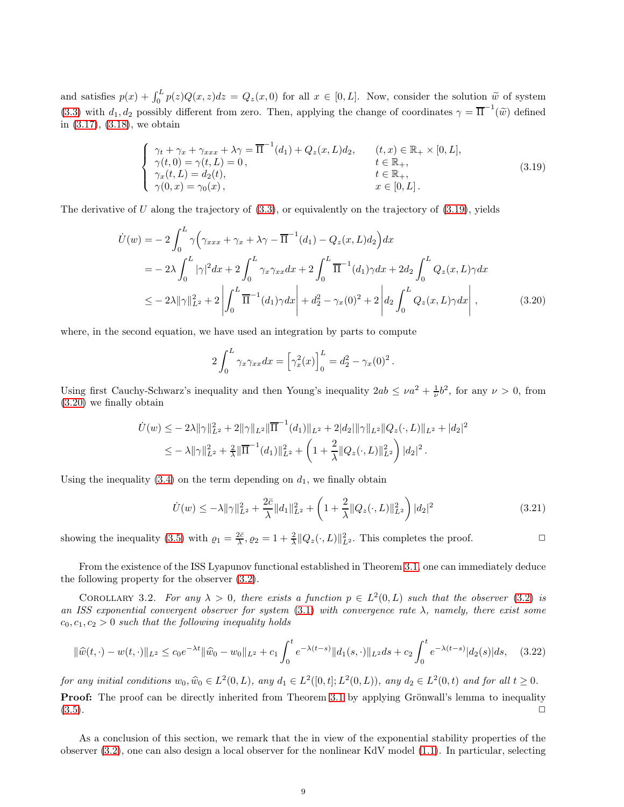and satisfies  $p(x) + \int_0^L p(z)Q(x, z)dz = Q_z(x, 0)$  for all  $x \in [0, L]$ . Now, consider the solution  $\widetilde{w}$  of system [\(3.3\)](#page-5-1) with  $d_1, d_2$  possibly different from zero. Then, applying the change of coordinates  $\gamma = \overline{\Pi}^{-1}(\tilde{w})$  defined in [\(3.17\)](#page-7-2), [\(3.18\)](#page-7-3), we obtain

<span id="page-8-0"></span>
$$
\begin{cases}\n\gamma_t + \gamma_x + \gamma_{xxx} + \lambda \gamma = \overline{\Pi}^{-1}(d_1) + Q_z(x, L)d_2, & (t, x) \in \mathbb{R}_+ \times [0, L], \\
\gamma(t, 0) = \gamma(t, L) = 0, & t \in \mathbb{R}_+, \\
\gamma_x(t, L) = d_2(t), & t \in \mathbb{R}_+, \\
\gamma(0, x) = \gamma_0(x), & x \in [0, L].\n\end{cases}
$$
\n(3.19)

The derivative of U along the trajectory of  $(3.3)$ , or equivalently on the trajectory of  $(3.19)$ , yields

$$
\dot{U}(w) = -2 \int_0^L \gamma \Big( \gamma_{xxx} + \gamma_x + \lambda \gamma - \overline{\Pi}^{-1}(d_1) - Q_z(x, L) d_2 \Big) dx
$$
  
=  $-2\lambda \int_0^L |\gamma|^2 dx + 2 \int_0^L \gamma_x \gamma_{xx} dx + 2 \int_0^L \overline{\Pi}^{-1}(d_1) \gamma dx + 2d_2 \int_0^L Q_z(x, L) \gamma dx$   
 $\le -2\lambda \|\gamma\|_{L^2}^2 + 2 \left| \int_0^L \overline{\Pi}^{-1}(d_1) \gamma dx \right| + d_2^2 - \gamma_x(0)^2 + 2 \left| d_2 \int_0^L Q_z(x, L) \gamma dx \right|,$  (3.20)

where, in the second equation, we have used an integration by parts to compute

<span id="page-8-1"></span>
$$
2\int_0^L \gamma_x \gamma_{xx} dx = \left[\gamma_x^2(x)\right]_0^L = d_2^2 - \gamma_x(0)^2.
$$

Using first Cauchy-Schwarz's inequality and then Young's inequality  $2ab \leq \nu a^2 + \frac{1}{\nu} b^2$ , for any  $\nu > 0$ , from [\(3.20\)](#page-8-1) we finally obtain

$$
\dot{U}(w) \leq -2\lambda \|\gamma\|_{L^2}^2 + 2\|\gamma\|_{L^2} \|\overline{\Pi}^{-1}(d_1)\|_{L^2} + 2|d_2|\|\gamma\|_{L^2} \|Q_z(\cdot, L)\|_{L^2} + |d_2|^2
$$
\n
$$
\leq -\lambda \|\gamma\|_{L^2}^2 + \frac{2}{\lambda} \|\overline{\Pi}^{-1}(d_1)\|_{L^2}^2 + \left(1 + \frac{2}{\lambda} \|Q_z(\cdot, L)\|_{L^2}^2\right) |d_2|^2.
$$

Using the inequality  $(3.4)$  on the term depending on  $d_1$ , we finally obtain

<span id="page-8-4"></span>
$$
\dot{U}(w) \le -\lambda \|\gamma\|_{L^2}^2 + \frac{2\bar{c}}{\lambda} \|d_1\|_{L^2}^2 + \left(1 + \frac{2}{\lambda} \|Q_z(\cdot, L)\|_{L^2}^2\right) |d_2|^2 \tag{3.21}
$$

showing the inequality [\(3.5\)](#page-5-4) with  $\varrho_1 = \frac{2\bar{c}}{\lambda}$ ,  $\varrho_2 = 1 + \frac{2}{\lambda} ||Q_z(\cdot, L)||_{L^2}^2$ . This completes the proof.

From the existence of the ISS Lyapunov functional established in Theorem [3.1,](#page-5-2) one can immediately deduce the following property for the observer [\(3.2\)](#page-5-0).

<span id="page-8-2"></span>COROLLARY 3.2. For any  $\lambda > 0$ , there exists a function  $p \in L^2(0,L)$  such that the observer [\(3.2\)](#page-5-0) is an ISS exponential convergent observer for system  $(3.1)$  with convergence rate  $\lambda$ , namely, there exist some  $c_0, c_1, c_2 > 0$  such that the following inequality holds

<span id="page-8-3"></span>
$$
\|\widehat{w}(t,\cdot)-w(t,\cdot)\|_{L^2} \le c_0 e^{-\lambda t} \|\widehat{w}_0 - w_0\|_{L^2} + c_1 \int_0^t e^{-\lambda(t-s)} \|d_1(s,\cdot)\|_{L^2} ds + c_2 \int_0^t e^{-\lambda(t-s)} |d_2(s)| ds, \quad (3.22)
$$

for any initial conditions  $w_0, \hat{w}_0 \in L^2(0, L)$ , any  $d_1 \in L^2([0, t]; L^2(0, L))$ , any  $d_2 \in L^2(0, t)$  and for all  $t \ge 0$ . Proof: The proof can be directly inherited from Theorem [3.1](#page-5-2) by applying Grönwall's lemma to inequality  $(3.5)$ .

As a conclusion of this section, we remark that the in view of the exponential stability properties of the observer [\(3.2\)](#page-5-0), one can also design a local observer for the nonlinear KdV model [\(1.1\)](#page-1-0). In particular, selecting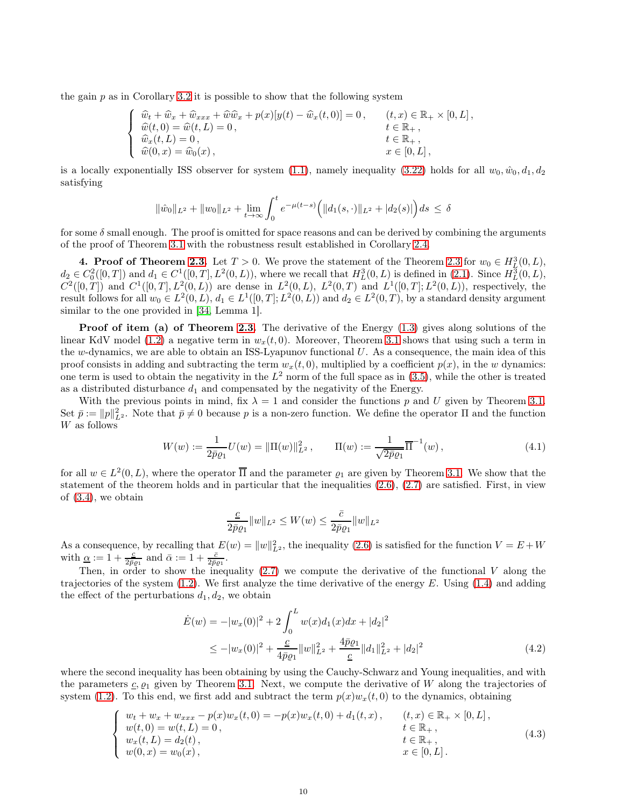the gain  $p$  as in Corollary [3.2](#page-8-2) it is possible to show that the following system

$$
\begin{cases}\n\widehat{w}_t + \widehat{w}_x + \widehat{w}_{xxx} + \widehat{w}\widehat{w}_x + p(x)[y(t) - \widehat{w}_x(t,0)] = 0, & (t,x) \in \mathbb{R}_+ \times [0,L], \\
\widehat{w}(t,0) = \widehat{w}(t,L) = 0, & t \in \mathbb{R}_+, \\
\widehat{w}_x(t,L) = 0, & t \in \mathbb{R}_+, \\
\widehat{w}(0,x) = \widehat{w}_0(x), & x \in [0,L],\n\end{cases}
$$

is a locally exponentially ISS observer for system [\(1.1\)](#page-1-0), namely inequality [\(3.22\)](#page-8-3) holds for all  $w_0, \hat{w}_0, d_1, d_2$ satisfying

$$
\|\hat{w}_0\|_{L^2} + \|w_0\|_{L^2} + \lim_{t \to \infty} \int_0^t e^{-\mu(t-s)} \Big( \|d_1(s, \cdot)\|_{L^2} + |d_2(s)| \Big) ds \le \delta
$$

for some  $\delta$  small enough. The proof is omitted for space reasons and can be derived by combining the arguments of the proof of Theorem [3.1](#page-5-2) with the robustness result established in Corollary [2.4.](#page-4-4)

<span id="page-9-0"></span>4. Proof of Theorem [2.3.](#page-4-1) Let  $T > 0$ . We prove the statement of the Theorem [2.3](#page-4-1) for  $w_0 \in H^3_L(0,L)$ ,  $d_2 \in C_0^2([0,T])$  and  $d_1 \in C^1([0,T], L^2(0,L))$ , where we recall that  $H_L^3(0,L)$  is defined in  $(2.1)$ . Since  $H_L^3(0,L)$ ,  $C^2([0,T])$  and  $C^1([0,T], L^2(0,L))$  are dense in  $L^2(0,L)$ ,  $L^2(0,T)$  and  $L^1([0,T]; L^2(0,L))$ , respectively, the result follows for all  $w_0 \in L^2(0, L)$ ,  $d_1 \in L^1([0, T]; L^2(0, L))$  and  $d_2 \in L^2(0, T)$ , by a standard density argument similar to the one provided in [\[34,](#page-24-32) Lemma 1].

**Proof of item (a) of Theorem [2.3.](#page-4-1)** The derivative of the Energy  $(1.3)$  gives along solutions of the linear KdV model [\(1.2\)](#page-1-1) a negative term in  $w_x(t, 0)$ . Moreover, Theorem [3.1](#page-5-2) shows that using such a term in the w-dynamics, we are able to obtain an ISS-Lyapunov functional  $U$ . As a consequence, the main idea of this proof consists in adding and subtracting the term  $w_x(t, 0)$ , multiplied by a coefficient  $p(x)$ , in the w dynamics: one term is used to obtain the negativity in the  $L^2$  norm of the full space as in  $(3.5)$ , while the other is treated as a distributed disturbance  $d_1$  and compensated by the negativity of the Energy.

With the previous points in mind, fix  $\lambda = 1$  and consider the functions p and U given by Theorem [3.1.](#page-5-2) Set  $\bar{p} := ||p||_{L^2}^2$ . Note that  $\bar{p} \neq 0$  because p is a non-zero function. We define the operator  $\Pi$  and the function W as follows

<span id="page-9-2"></span>
$$
W(w) := \frac{1}{2\bar{p}\varrho_1} U(w) = \|\Pi(w)\|_{L^2}^2, \qquad \Pi(w) := \frac{1}{\sqrt{2\bar{p}\varrho_1}} \overline{\Pi}^{-1}(w), \tag{4.1}
$$

for all  $w \in L^2(0,L)$ , where the operator  $\overline{\Pi}$  and the parameter  $\varrho_1$  are given by Theorem [3.1.](#page-5-2) We show that the statement of the theorem holds and in particular that the inequalities  $(2.6)$ ,  $(2.7)$  are satisfied. First, in view of [\(3.4\)](#page-5-3), we obtain

<span id="page-9-3"></span>
$$
\frac{\underline{c}}{2\bar{p}\varrho_1}\|w\|_{L^2}\leq W(w)\leq \frac{\bar{c}}{2\bar{p}\varrho_1}\|w\|_{L^2}
$$

As a consequence, by recalling that  $E(w) = ||w||_{L^2}^2$ , the inequality [\(2.6\)](#page-3-1) is satisfied for the function  $V = E + W$ with  $\underline{\alpha} := 1 + \frac{\underline{c}}{2\overline{p}g_1}$  and  $\overline{\alpha} := 1 + \frac{\overline{c}}{2\overline{p}g_1}$ .

Then, in order to show the inequality  $(2.7)$  we compute the derivative of the functional V along the trajectories of the system [\(1.2\)](#page-1-1). We first analyze the time derivative of the energy E. Using [\(1.4\)](#page-1-3) and adding the effect of the perturbations  $d_1, d_2$ , we obtain

$$
\dot{E}(w) = -|w_x(0)|^2 + 2\int_0^L w(x)d_1(x)dx + |d_2|^2
$$
\n
$$
\leq -|w_x(0)|^2 + \frac{\underline{c}}{4\bar{p}\rho_1}||w||_{L^2}^2 + \frac{4\bar{p}\rho_1}{\underline{c}}||d_1||_{L^2}^2 + |d_2|^2
$$
\n(4.2)

where the second inequality has been obtaining by using the Cauchy-Schwarz and Young inequalities, and with the parameters  $c, \varrho_1$  given by Theorem [3.1.](#page-5-2) Next, we compute the derivative of W along the trajectories of system [\(1.2\)](#page-1-1). To this end, we first add and subtract the term  $p(x)w_x(t, 0)$  to the dynamics, obtaining

<span id="page-9-1"></span>
$$
\begin{cases}\nw_t + w_x + w_{xxx} - p(x)w_x(t,0) = -p(x)w_x(t,0) + d_1(t,x), & (t,x) \in \mathbb{R}_+ \times [0,L], \\
w(t,0) = w(t,L) = 0, & t \in \mathbb{R}_+, \\
w_x(t,L) = d_2(t), & t \in \mathbb{R}_+, \\
w(0,x) = w_0(x), & x \in [0,L].\n\end{cases}\n\tag{4.3}
$$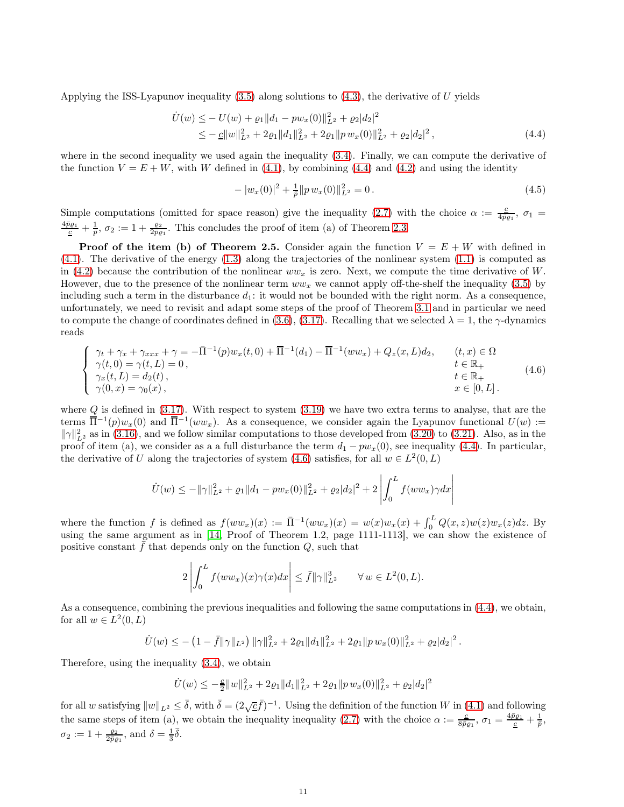Applying the ISS-Lyapunov inequality  $(3.5)$  along solutions to  $(4.3)$ , the derivative of U yields

$$
\dot{U}(w) \leq -U(w) + \varrho_1 \|d_1 - pw_x(0)\|_{L^2}^2 + \varrho_2 |d_2|^2
$$
\n
$$
\leq -\underline{c} \|w\|_{L^2}^2 + 2\varrho_1 \|d_1\|_{L^2}^2 + 2\varrho_1 \|pw_x(0)\|_{L^2}^2 + \varrho_2 |d_2|^2,
$$
\n(4.4)

where in the second inequality we used again the inequality [\(3.4\)](#page-5-3). Finally, we can compute the derivative of the function  $V = E + W$ , with W defined in [\(4.1\)](#page-9-2), by combining [\(4.4\)](#page-10-0) and [\(4.2\)](#page-9-3) and using the identity

<span id="page-10-0"></span>
$$
-|w_x(0)|^2 + \frac{1}{\bar{p}}||pw_x(0)||_{L^2}^2 = 0.
$$
\n(4.5)

Simple computations (omitted for space reason) give the inequality [\(2.7\)](#page-3-2) with the choice  $\alpha := \frac{c}{4\pi}$  $\frac{c}{4\bar{p}\varrho_1}, \sigma_1 =$  $\frac{4\bar{p}\varrho_1}{\frac{c}{2}} + \frac{1}{\bar{p}}, \sigma_2 := 1 + \frac{\varrho_2}{2\bar{p}\varrho_1}$ . This concludes the proof of item (a) of Theorem [2.3.](#page-4-1)

**Proof of the item (b) of Theorem 2.5.** Consider again the function  $V = E + W$  with defined in [\(4.1\)](#page-9-2). The derivative of the energy [\(1.3\)](#page-1-2) along the trajectories of the nonlinear system [\(1.1\)](#page-1-0) is computed as in [\(4.2\)](#page-9-3) because the contribution of the nonlinear  $ww_x$  is zero. Next, we compute the time derivative of W. However, due to the presence of the nonlinear term  $ww_x$  we cannot apply off-the-shelf the inequality [\(3.5\)](#page-5-4) by including such a term in the disturbance  $d_1$ : it would not be bounded with the right norm. As a consequence, unfortunately, we need to revisit and adapt some steps of the proof of Theorem [3.1](#page-5-2) and in particular we need to compute the change of coordinates defined in [\(3.6\)](#page-5-7), [\(3.17\)](#page-7-2). Recalling that we selected  $\lambda = 1$ , the  $\gamma$ -dynamics reads

<span id="page-10-1"></span>
$$
\begin{cases}\n\gamma_t + \gamma_x + \gamma_{xxx} + \gamma = -\bar{\Pi}^{-1}(p)w_x(t,0) + \bar{\Pi}^{-1}(d_1) - \bar{\Pi}^{-1}(ww_x) + Q_z(x,L)d_2, & (t,x) \in \Omega \\
\gamma(t,0) = \gamma(t,L) = 0, & t \in \mathbb{R}_+ \\
\gamma_x(t,L) = d_2(t), & t \in \mathbb{R}_+ \\
\gamma(0,x) = \gamma_0(x), & x \in [0,L].\n\end{cases}
$$
\n(4.6)

where  $Q$  is defined in [\(3.17\)](#page-7-2). With respect to system [\(3.19\)](#page-8-0) we have two extra terms to analyse, that are the terms  $\overline{\Pi}^{-1}(p)w_x(0)$  and  $\overline{\Pi}^{-1}(ww_x)$ . As a consequence, we consider again the Lyapunov functional  $U(w) :=$  $\|\gamma\|_{L^2}^2$  as in [\(3.16\)](#page-7-4), and we follow similar computations to those developed from [\(3.20\)](#page-8-1) to [\(3.21\)](#page-8-4). Also, as in the proof of item (a), we consider as a a full disturbance the term  $d_1 - pw_x(0)$ , see inequality [\(4.4\)](#page-10-0). In particular, the derivative of U along the trajectories of system [\(4.6\)](#page-10-1) satisfies, for all  $w \in L^2(0, L)$ 

$$
\dot{U}(w) \le -||\gamma||_{L^2}^2 + \varrho_1||d_1 - pw_x(0)||_{L^2}^2 + \varrho_2|d_2|^2 + 2\left|\int_0^L f(ww_x)\gamma dx\right|
$$

where the function f is defined as  $f(ww_x)(x) := \overline{\Pi}^{-1}(ww_x)(x) = w(x)w_x(x) + \int_0^L Q(x, z)w(z)w_x(z)dz$ . By using the same argument as in [\[14,](#page-24-1) Proof of Theorem 1.2, page 1111-1113], we can show the existence of positive constant  $\bar{f}$  that depends only on the function  $Q$ , such that

$$
2\left|\int_0^L f(ww_x)(x)\gamma(x)dx\right| \leq \bar{f}||\gamma||_{L^2}^3 \quad \forall w \in L^2(0,L).
$$

As a consequence, combining the previous inequalities and following the same computations in [\(4.4\)](#page-10-0), we obtain, for all  $w \in L^2(0,L)$ 

$$
\dot{U}(w) \leq -\left(1 - \bar{f} \|\gamma\|_{L^2}\right) \|\gamma\|_{L^2}^2 + 2\rho_1 \|d_1\|_{L^2}^2 + 2\rho_1 \|p w_x(0)\|_{L^2}^2 + \rho_2 |d_2|^2.
$$

Therefore, using the inequality [\(3.4\)](#page-5-3), we obtain

$$
\dot{U}(w) \leq -\frac{c}{2}||w||_{L^{2}}^{2} + 2\varrho_{1}||d_{1}||_{L^{2}}^{2} + 2\varrho_{1}||pw_{x}(0)||_{L^{2}}^{2} + \varrho_{2}|d_{2}|^{2}
$$

for all w satisfying  $||w||_{L^2} \leq \overline{\delta}$ , with  $\overline{\delta} = (2\sqrt{\underline{c}}\overline{f})^{-1}$ . Using the definition of the function W in [\(4.1\)](#page-9-2) and following the same steps of item (a), we obtain the inequality inequality [\(2.7\)](#page-3-2) with the choice  $\alpha := \frac{c}{8\pi}$  $\frac{c}{8\bar{p}\varrho_1},\,\sigma_1=\frac{4\bar{p}\varrho_1}{\frac{c}{p}}+\frac{1}{\bar{p}},$  $\sigma_2 := 1 + \frac{\varrho_2}{2\bar{p}\varrho_1}$ , and  $\delta = \frac{1}{3}\bar{\delta}$ .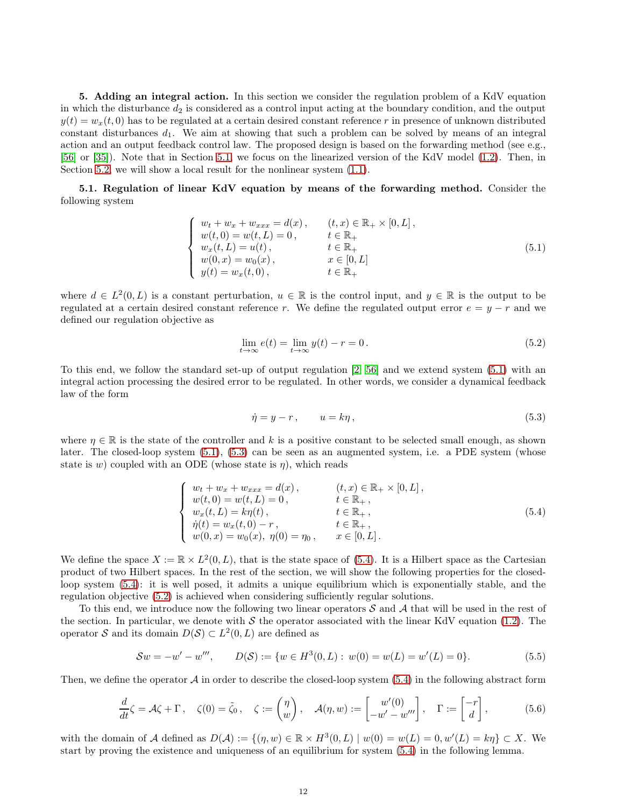<span id="page-11-0"></span>5. Adding an integral action. In this section we consider the regulation problem of a KdV equation in which the disturbance  $d_2$  is considered as a control input acting at the boundary condition, and the output  $y(t) = w_x(t, 0)$  has to be regulated at a certain desired constant reference r in presence of unknown distributed constant disturbances  $d_1$ . We aim at showing that such a problem can be solved by means of an integral action and an output feedback control law. The proposed design is based on the forwarding method (see e.g., [\[56\]](#page-25-10) or [\[35\]](#page-24-24)). Note that in Section [5.1,](#page-11-1) we focus on the linearized version of the KdV model [\(1.2\)](#page-1-1). Then, in Section [5.2,](#page-17-0) we will show a local result for the nonlinear system  $(1.1)$ .

<span id="page-11-1"></span>5.1. Regulation of linear KdV equation by means of the forwarding method. Consider the following system

<span id="page-11-2"></span>
$$
\begin{cases}\n w_t + w_x + w_{xxx} = d(x), & (t, x) \in \mathbb{R}_+ \times [0, L], \\
 w(t, 0) = w(t, L) = 0, & t \in \mathbb{R}_+ \\
 w_x(t, L) = u(t), & t \in \mathbb{R}_+ \\
 w(0, x) = w_0(x), & x \in [0, L] \\
 y(t) = w_x(t, 0), & t \in \mathbb{R}_+\n\end{cases}
$$
\n(5.1)

where  $d \in L^2(0,L)$  is a constant perturbation,  $u \in \mathbb{R}$  is the control input, and  $y \in \mathbb{R}$  is the output to be regulated at a certain desired constant reference r. We define the regulated output error  $e = y - r$  and we defined our regulation objective as

<span id="page-11-5"></span>
$$
\lim_{t \to \infty} e(t) = \lim_{t \to \infty} y(t) - r = 0. \tag{5.2}
$$

To this end, we follow the standard set-up of output regulation [\[2,](#page-23-3) [56\]](#page-25-10) and we extend system [\(5.1\)](#page-11-2) with an integral action processing the desired error to be regulated. In other words, we consider a dynamical feedback law of the form

<span id="page-11-3"></span>
$$
\dot{\eta} = y - r, \qquad u = k\eta, \tag{5.3}
$$

where  $\eta \in \mathbb{R}$  is the state of the controller and k is a positive constant to be selected small enough, as shown later. The closed-loop system [\(5.1\)](#page-11-2), [\(5.3\)](#page-11-3) can be seen as an augmented system, i.e. a PDE system (whose state is w) coupled with an ODE (whose state is  $\eta$ ), which reads

<span id="page-11-4"></span>
$$
\begin{cases}\n w_t + w_x + w_{xxx} = d(x), & (t, x) \in \mathbb{R}_+ \times [0, L], \\
 w(t, 0) = w(t, L) = 0, & t \in \mathbb{R}_+, \\
 w_x(t, L) = k\eta(t), & t \in \mathbb{R}_+, \\
 \dot{\eta}(t) = w_x(t, 0) - r, & t \in \mathbb{R}_+, \\
 w(0, x) = w_0(x), \ \eta(0) = \eta_0, & x \in [0, L].\n\end{cases}
$$
\n(5.4)

We define the space  $X := \mathbb{R} \times L^2(0, L)$ , that is the state space of [\(5.4\)](#page-11-4). It is a Hilbert space as the Cartesian product of two Hilbert spaces. In the rest of the section, we will show the following properties for the closedloop system [\(5.4\)](#page-11-4): it is well posed, it admits a unique equilibrium which is exponentially stable, and the regulation objective [\(5.2\)](#page-11-5) is achieved when considering sufficiently regular solutions.

To this end, we introduce now the following two linear operators  $S$  and  $A$  that will be used in the rest of the section. In particular, we denote with S the operator associated with the linear KdV equation [\(1.2\)](#page-1-1). The operator S and its domain  $D(S) \subset L^2(0, L)$  are defined as

<span id="page-11-6"></span>
$$
Sw = -w' - w''', \qquad D(S) := \{w \in H^3(0, L) : w(0) = w(L) = w'(L) = 0\}.
$$
\n
$$
(5.5)
$$

Then, we define the operator  $\mathcal A$  in order to describe the closed-loop system [\(5.4\)](#page-11-4) in the following abstract form

<span id="page-11-7"></span>
$$
\frac{d}{dt}\zeta = \mathcal{A}\zeta + \Gamma, \quad \zeta(0) = \tilde{\zeta}_0, \quad \zeta := \begin{pmatrix} \eta \\ w \end{pmatrix}, \quad \mathcal{A}(\eta, w) := \begin{bmatrix} w'(0) \\ -w' - w''' \end{bmatrix}, \quad \Gamma := \begin{bmatrix} -r \\ d \end{bmatrix}, \tag{5.6}
$$

with the domain of A defined as  $D(\mathcal{A}) := \{ (\eta, w) \in \mathbb{R} \times H^3(0, L) \mid w(0) = w(L) = 0, w'(L) = k\eta \} \subset X$ . We start by proving the existence and uniqueness of an equilibrium for system [\(5.4\)](#page-11-4) in the following lemma.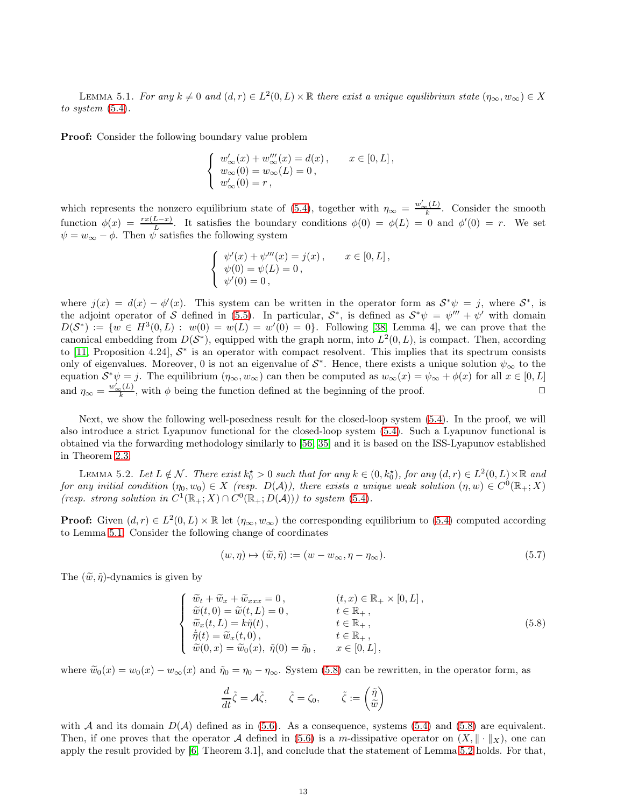<span id="page-12-0"></span>LEMMA 5.1. For any  $k \neq 0$  and  $(d, r) \in L^2(0, L) \times \mathbb{R}$  there exist a unique equilibrium state  $(\eta_\infty, w_\infty) \in X$ to system [\(5.4\)](#page-11-4).

**Proof:** Consider the following boundary value problem

$$
\label{eq:2.1} \left\{ \begin{array}{l} w_\infty'(x)+w_\infty'''(x)=d(x)\,,\qquad x\in[0,L]\,,\\ w_\infty(0)=w_\infty(L)=0\,,\\ w_\infty'(0)=r\,, \end{array} \right.
$$

which represents the nonzero equilibrium state of [\(5.4\)](#page-11-4), together with  $\eta_{\infty} = \frac{w'_{\infty}(L)}{k}$ . Consider the smooth function  $\phi(x) = \frac{rx(L-x)}{L}$ . It satisfies the boundary conditions  $\phi(0) = \phi(L) = 0$  and  $\phi'(0) = r$ . We set  $\psi = w_{\infty} - \phi$ . Then  $\psi$  satisfies the following system

$$
\begin{cases}\n\psi'(x) + \psi'''(x) = j(x), & x \in [0, L], \\
\psi(0) = \psi(L) = 0, \\
\psi'(0) = 0,\n\end{cases}
$$

where  $j(x) = d(x) - \phi'(x)$ . This system can be written in the operator form as  $S^*\psi = j$ , where  $S^*$ , is the adjoint operator of S defined in [\(5.5\)](#page-11-6). In particular,  $S^*$ , is defined as  $S^*\psi = \psi''' + \psi'$  with domain  $D(S^*) := \{w \in H^3(0,L) : w(0) = w(L) = w'(0) = 0\}.$  Following [\[38,](#page-24-33) Lemma 4], we can prove that the canonical embedding from  $D(S^*)$ , equipped with the graph norm, into  $L^2(0,L)$ , is compact. Then, according to [\[11,](#page-24-34) Proposition 4.24],  $S^*$  is an operator with compact resolvent. This implies that its spectrum consists only of eigenvalues. Moreover, 0 is not an eigenvalue of  $S^*$ . Hence, there exists a unique solution  $\psi_{\infty}$  to the equation  $S^*\psi = j$ . The equilibrium  $(\eta_\infty, w_\infty)$  can then be computed as  $w_\infty(x) = \psi_\infty + \phi(x)$  for all  $x \in [0, L]$ and  $\eta_{\infty} = \frac{w_{\infty}'(L)}{k}$ , with  $\phi$  being the function defined at the beginning of the proof.

Next, we show the following well-posedness result for the closed-loop system [\(5.4\)](#page-11-4). In the proof, we will also introduce a strict Lyapunov functional for the closed-loop system [\(5.4\)](#page-11-4). Such a Lyapunov functional is obtained via the forwarding methodology similarly to [\[56,](#page-25-10) [35\]](#page-24-24) and it is based on the ISS-Lyapunov established in Theorem [2.3.](#page-4-1)

<span id="page-12-2"></span>LEMMA 5.2. Let  $L \notin \mathcal{N}$ . There exist  $k_0^* > 0$  such that for any  $k \in (0, k_0^*)$ , for any  $(d, r) \in L^2(0, L) \times \mathbb{R}$  and for any initial condition  $(\eta_0, w_0) \in X$  (resp.  $D(A)$ ), there exists a unique weak solution  $(\eta, w) \in C^0(\mathbb{R}_+; X)$ (resp. strong solution in  $C^1(\mathbb{R}_+;X) \cap C^0(\mathbb{R}_+;D(\mathcal{A})))$  to system [\(5.4\)](#page-11-4).

**Proof:** Given  $(d, r) \in L^2(0, L) \times \mathbb{R}$  let  $(\eta_\infty, w_\infty)$  the corresponding equilibrium to [\(5.4\)](#page-11-4) computed according to Lemma [5.1.](#page-12-0) Consider the following change of coordinates

<span id="page-12-3"></span>
$$
(w, \eta) \mapsto (\tilde{w}, \tilde{\eta}) := (w - w_{\infty}, \eta - \eta_{\infty}).
$$
\n
$$
(5.7)
$$

The  $(\tilde{w}, \tilde{\eta})$ -dynamics is given by

<span id="page-12-1"></span>
$$
\begin{cases}\n\widetilde{w}_t + \widetilde{w}_x + \widetilde{w}_{xxx} = 0, & (t, x) \in \mathbb{R}_+ \times [0, L], \\
\widetilde{w}(t, 0) = \widetilde{w}(t, L) = 0, & t \in \mathbb{R}_+, \\
\widetilde{w}_x(t, L) = k\widetilde{\eta}(t), & t \in \mathbb{R}_+, \\
\dot{\widetilde{\eta}}(t) = \widetilde{w}_x(t, 0), & t \in \mathbb{R}_+, \\
\widetilde{w}(0, x) = \widetilde{w}_0(x), & \widetilde{\eta}(0) = \widetilde{\eta}_0, & x \in [0, L],\n\end{cases}
$$
\n(5.8)

where  $\tilde{w}_0(x) = w_0(x) - w_\infty(x)$  and  $\tilde{\eta}_0 = \eta_0 - \eta_\infty$ . System [\(5.8\)](#page-12-1) can be rewritten, in the operator form, as

$$
\frac{d}{dt}\tilde{\zeta} = \mathcal{A}\tilde{\zeta}, \qquad \tilde{\zeta} = \zeta_0, \qquad \tilde{\zeta} := \begin{pmatrix} \tilde{\eta} \\ \tilde{w} \end{pmatrix}
$$

with A and its domain  $D(A)$  defined as in [\(5.6\)](#page-11-7). As a consequence, systems [\(5.4\)](#page-11-4) and [\(5.8\)](#page-12-1) are equivalent. Then, if one proves that the operator A defined in [\(5.6\)](#page-11-7) is a m-dissipative operator on  $(X, \|\cdot\|_X)$ , one can apply the result provided by [6, Theorem 3.1], and conclude that the statement of Lemma [5.2](#page-12-2) holds. For that,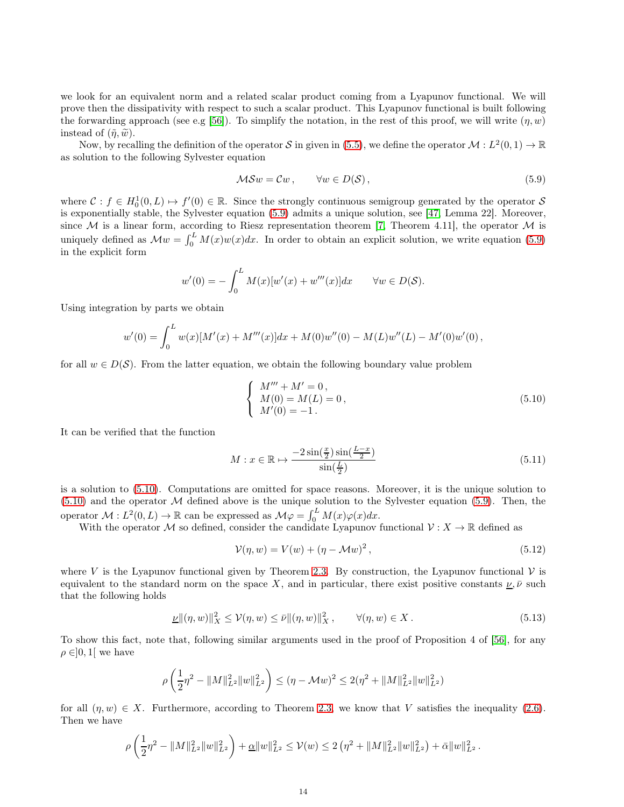we look for an equivalent norm and a related scalar product coming from a Lyapunov functional. We will prove then the dissipativity with respect to such a scalar product. This Lyapunov functional is built following the forwarding approach (see e.g [\[56\]](#page-25-10)). To simplify the notation, in the rest of this proof, we will write  $(\eta, w)$ instead of  $(\tilde{\eta}, \tilde{w})$ .

Now, by recalling the definition of the operator S in given in [\(5.5\)](#page-11-6), we define the operator  $\mathcal{M}: L^2(0,1) \to \mathbb{R}$ as solution to the following Sylvester equation

<span id="page-13-0"></span>
$$
MSw = Cw, \qquad \forall w \in D(S), \tag{5.9}
$$

where  $\mathcal{C}: f \in H_0^1(0,L) \to f'(0) \in \mathbb{R}$ . Since the strongly continuous semigroup generated by the operator S is exponentially stable, the Sylvester equation [\(5.9\)](#page-13-0) admits a unique solution, see [\[47,](#page-25-12) Lemma 22]. Moreover, since M is a linear form, according to Riesz representation theorem [\[7,](#page-23-9) Theorem 4.11], the operator M is uniquely defined as  $\mathcal{M}w = \int_0^L M(x)w(x)dx$ . In order to obtain an explicit solution, we write equation [\(5.9\)](#page-13-0) in the explicit form

$$
w'(0) = -\int_0^L M(x)[w'(x) + w'''(x)]dx \quad \forall w \in D(S).
$$

Using integration by parts we obtain

$$
w'(0) = \int_0^L w(x)[M'(x) + M'''(x)]dx + M(0)w''(0) - M(L)w''(L) - M'(0)w'(0),
$$

for all  $w \in D(\mathcal{S})$ . From the latter equation, we obtain the following boundary value problem

<span id="page-13-1"></span>
$$
\begin{cases}\nM''' + M' = 0, \\
M(0) = M(L) = 0, \\
M'(0) = -1.\n\end{cases}
$$
\n(5.10)

It can be verified that the function

<span id="page-13-4"></span>
$$
M: x \in \mathbb{R} \mapsto \frac{-2\sin(\frac{x}{2})\sin(\frac{L-x}{2})}{\sin(\frac{L}{2})}
$$
\n
$$
(5.11)
$$

is a solution to [\(5.10\)](#page-13-1). Computations are omitted for space reasons. Moreover, it is the unique solution to  $(5.10)$  and the operator M defined above is the unique solution to the Sylvester equation [\(5.9\)](#page-13-0). Then, the operator  $\mathcal{M}: L^2(0,L) \to \mathbb{R}$  can be expressed as  $\mathcal{M}\varphi = \int_0^L M(x)\varphi(x)dx$ .

With the operator M so defined, consider the candidate Lyapunov functional  $\mathcal{V}: X \to \mathbb{R}$  defined as

<span id="page-13-3"></span>
$$
\mathcal{V}(\eta, w) = V(w) + (\eta - \mathcal{M}w)^2, \qquad (5.12)
$$

where V is the Lyapunov functional given by Theorem [2.3.](#page-4-1) By construction, the Lyapunov functional  $\mathcal V$  is equivalent to the standard norm on the space X, and in particular, there exist positive constants  $\underline{\nu}, \overline{\nu}$  such that the following holds

<span id="page-13-2"></span>
$$
\underline{\nu} \|(\eta, w)\|_X^2 \le \mathcal{V}(\eta, w) \le \overline{\nu} \|(\eta, w)\|_X^2, \qquad \forall (\eta, w) \in X. \tag{5.13}
$$

To show this fact, note that, following similar arguments used in the proof of Proposition 4 of [\[56\]](#page-25-10), for any  $\rho \in ]0,1[$  we have

$$
\rho\left(\frac{1}{2}\eta^2-\|M\|_{L^2}^2\|w\|_{L^2}^2\right)\leq (\eta-\mathcal{M}w)^2\leq 2(\eta^2+\|M\|_{L^2}^2\|w\|_{L^2}^2)
$$

for all  $(\eta, w) \in X$ . Furthermore, according to Theorem [2.3,](#page-4-1) we know that V satisfies the inequality [\(2.6\)](#page-3-1). Then we have

$$
\rho\left(\frac{1}{2}\eta^2 - \|M\|_{L^2}^2 \|w\|_{L^2}^2\right) + \underline{\alpha} \|w\|_{L^2}^2 \leq \mathcal{V}(w) \leq 2\left(\eta^2 + \|M\|_{L^2}^2 \|w\|_{L^2}^2\right) + \overline{\alpha} \|w\|_{L^2}^2.
$$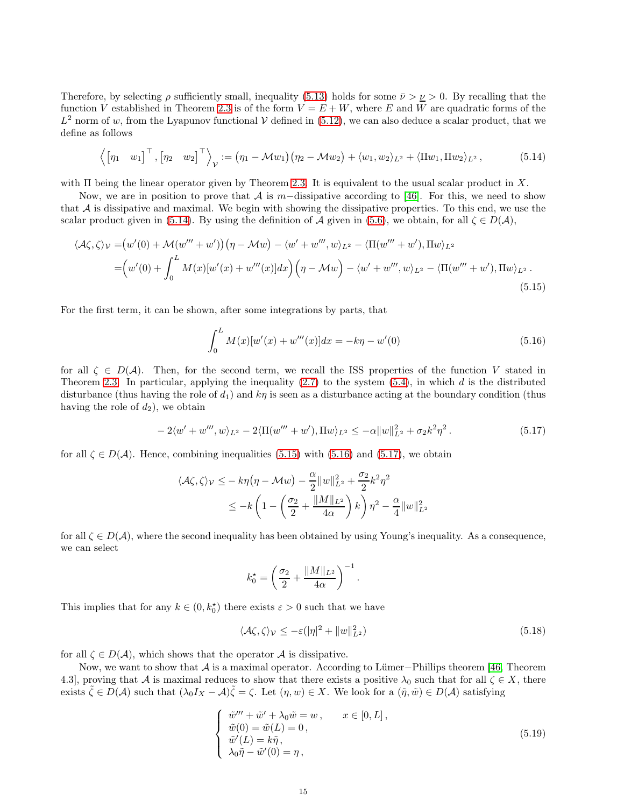Therefore, by selecting  $\rho$  sufficiently small, inequality [\(5.13\)](#page-13-2) holds for some  $\bar{\nu} > \nu > 0$ . By recalling that the function V established in Theorem [2.3](#page-4-1) is of the form  $V = E + W$ , where E and W are quadratic forms of the  $L^2$  norm of w, from the Lyapunov functional V defined in [\(5.12\)](#page-13-3), we can also deduce a scalar product, that we define as follows

<span id="page-14-0"></span>
$$
\left\langle \begin{bmatrix} \eta_1 & w_1 \end{bmatrix}^\top, \begin{bmatrix} \eta_2 & w_2 \end{bmatrix}^\top \right\rangle_{\mathcal{V}} := (\eta_1 - \mathcal{M}w_1)(\eta_2 - \mathcal{M}w_2) + \langle w_1, w_2 \rangle_{L^2} + \langle \Pi w_1, \Pi w_2 \rangle_{L^2}, \tag{5.14}
$$

with  $\Pi$  being the linear operator given by Theorem [2.3.](#page-4-1) It is equivalent to the usual scalar product in X.

Now, we are in position to prove that A is m−dissipative according to [\[46\]](#page-24-35). For this, we need to show that  $A$  is dissipative and maximal. We begin with showing the dissipative properties. To this end, we use the scalar product given in [\(5.14\)](#page-14-0). By using the definition of A given in [\(5.6\)](#page-11-7), we obtain, for all  $\zeta \in D(\mathcal{A})$ ,

$$
\langle \mathcal{A}\zeta, \zeta \rangle_{\mathcal{V}} = (w'(0) + \mathcal{M}(w''' + w')) \left(\eta - \mathcal{M}w\right) - \langle w' + w''' , w \rangle_{L^2} - \langle \Pi(w''' + w'), \Pi w \rangle_{L^2}
$$
  
= 
$$
\left(w'(0) + \int_0^L M(x)[w'(x) + w'''(x)]dx\right) \left(\eta - \mathcal{M}w\right) - \langle w' + w''', w \rangle_{L^2} - \langle \Pi(w''' + w'), \Pi w \rangle_{L^2}.
$$
  
(5.15)

For the first term, it can be shown, after some integrations by parts, that

<span id="page-14-2"></span><span id="page-14-1"></span>
$$
\int_{0}^{L} M(x)[w'(x) + w'''(x)]dx = -k\eta - w'(0)
$$
\n(5.16)

for all  $\zeta \in D(\mathcal{A})$ . Then, for the second term, we recall the ISS properties of the function V stated in Theorem [2.3.](#page-4-1) In particular, applying the inequality  $(2.7)$  to the system  $(5.4)$ , in which d is the distributed disturbance (thus having the role of  $d_1$ ) and  $k\eta$  is seen as a disturbance acting at the boundary condition (thus having the role of  $d_2$ ), we obtain

<span id="page-14-3"></span>
$$
-2\langle w' + w'''', w\rangle_{L^2} - 2\langle \Pi(w''' + w'), \Pi w\rangle_{L^2} \leq -\alpha \|w\|_{L^2}^2 + \sigma_2 k^2 \eta^2. \tag{5.17}
$$

for all  $\zeta \in D(\mathcal{A})$ . Hence, combining inequalities [\(5.15\)](#page-14-1) with [\(5.16\)](#page-14-2) and [\(5.17\)](#page-14-3), we obtain

$$
\langle \mathcal{A}\zeta, \zeta \rangle_{\mathcal{V}} \leq -k\eta \big(\eta - \mathcal{M}w\big) - \frac{\alpha}{2} ||w||_{L^2}^2 + \frac{\sigma_2}{2} k^2 \eta^2
$$
  

$$
\leq -k \left(1 - \left(\frac{\sigma_2}{2} + \frac{||M||_{L^2}}{4\alpha}\right)k\right) \eta^2 - \frac{\alpha}{4} ||w||_{L^2}^2
$$

for all  $\zeta \in D(\mathcal{A})$ , where the second inequality has been obtained by using Young's inequality. As a consequence, we can select

$$
k_0^* = \left(\frac{\sigma_2}{2} + \frac{\|M\|_{L^2}}{4\alpha}\right)^{-1}.
$$

This implies that for any  $k \in (0, k_0^{\star})$  there exists  $\varepsilon > 0$  such that we have

<span id="page-14-5"></span>
$$
\langle \mathcal{A}\zeta, \zeta \rangle_{\mathcal{V}} \le -\varepsilon (|\eta|^2 + \|w\|_{L^2}^2)
$$
\n(5.18)

for all  $\zeta \in D(\mathcal{A})$ , which shows that the operator  $\mathcal A$  is dissipative.

Now, we want to show that A is a maximal operator. According to Lümer−Phillips theorem [\[46,](#page-24-35) Theorem 4.3], proving that A is maximal reduces to show that there exists a positive  $\lambda_0$  such that for all  $\zeta \in X$ , there exists  $\tilde{\zeta} \in D(\mathcal{A})$  such that  $(\lambda_0 I_X - \mathcal{A})\tilde{\zeta} = \zeta$ . Let  $(\eta, w) \in X$ . We look for a  $(\tilde{\eta}, \tilde{w}) \in D(\mathcal{A})$  satisfying

<span id="page-14-4"></span>
$$
\begin{cases}\n\tilde{w}^{\prime\prime\prime} + \tilde{w}^{\prime} + \lambda_0 \tilde{w} = w, & x \in [0, L], \\
\tilde{w}(0) = \tilde{w}(L) = 0, \\
\tilde{w}^{\prime}(L) = k\tilde{\eta}, \\
\lambda_0 \tilde{\eta} - \tilde{w}^{\prime}(0) = \eta,\n\end{cases}
$$
\n(5.19)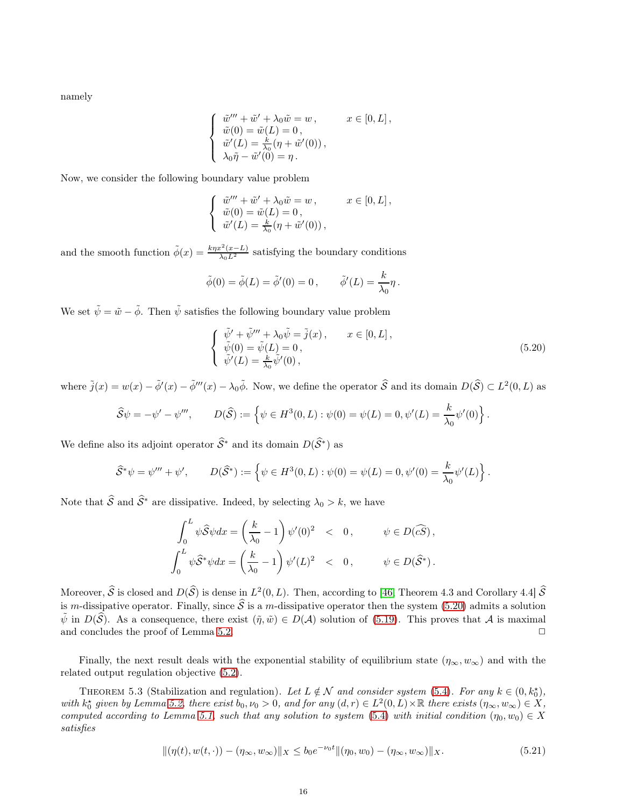namely

$$
\label{eq:2.1} \left\{ \begin{array}{l} \tilde w''' + \tilde w' + \lambda_0 \tilde w = w \,, \qquad \quad x \in [0,L] \,, \\ \tilde w(0) = \tilde w(L) = 0 \,, \\ \tilde w'(L) = \frac{k}{\lambda_0}(\eta + \tilde w'(0)) \,, \\ \lambda_0 \tilde \eta - \tilde w'(0) = \eta \,. \end{array} \right.
$$

Now, we consider the following boundary value problem

$$
\label{eq:2.1} \left\{ \begin{array}{l} \tilde w^{\prime\prime\prime} + \tilde w^\prime + \lambda_0 \tilde w = w \,, \qquad \quad x \in [0,L] \,, \\ \tilde w(0) = \tilde w(L) = 0 \,, \qquad \qquad \\ \tilde w^\prime(L) = \frac{k}{\lambda_0} (\eta + \tilde w^\prime(0)) \,, \end{array} \right.
$$

and the smooth function  $\tilde{\phi}(x) = \frac{k\eta x^2(x-L)}{\lambda_0 L^2}$  satisfying the boundary conditions

$$
\tilde{\phi}(0) = \tilde{\phi}(L) = \tilde{\phi}'(0) = 0, \qquad \tilde{\phi}'(L) = \frac{k}{\lambda_0} \eta.
$$

We set  $\tilde{\psi} = \tilde{w} - \tilde{\phi}$ . Then  $\tilde{\psi}$  satisfies the following boundary value problem

<span id="page-15-0"></span>
$$
\begin{cases}\n\tilde{\psi}' + \tilde{\psi}''' + \lambda_0 \tilde{\psi} = \tilde{j}(x), & x \in [0, L], \\
\tilde{\psi}(0) = \tilde{\psi}(L) = 0, \\
\tilde{\psi}'(L) = \frac{k}{\lambda_0} \tilde{\psi}'(0),\n\end{cases}
$$
\n(5.20)

where  $\tilde{j}(x) = w(x) - \tilde{\phi}'(x) - \tilde{\phi}'''(x) - \lambda_0 \tilde{\phi}$ . Now, we define the operator  $\hat{S}$  and its domain  $D(\hat{S}) \subset L^2(0, L)$  as

$$
\widehat{S}\psi = -\psi' - \psi''', \qquad D(\widehat{S}) := \left\{\psi \in H^3(0, L) : \psi(0) = \psi(L) = 0, \psi'(L) = \frac{k}{\lambda_0}\psi'(0)\right\}.
$$

We define also its adjoint operator  $\widehat{S}^*$  and its domain  $D(\widehat{S}^*)$  as

$$
\widehat{S}^*\psi = \psi''' + \psi', \qquad D(\widehat{S}^*) := \left\{\psi \in H^3(0, L) : \psi(0) = \psi(L) = 0, \psi'(0) = \frac{k}{\lambda_0}\psi'(L)\right\}.
$$

Note that  $\widehat{S}$  and  $\widehat{S}^*$  are dissipative. Indeed, by selecting  $\lambda_0 > k$ , we have

$$
\int_0^L \psi \hat{S} \psi dx = \left(\frac{k}{\lambda_0} - 1\right) \psi'(0)^2 < 0, \qquad \psi \in D(\widehat{cs}),
$$
\n
$$
\int_0^L \psi \hat{S}^* \psi dx = \left(\frac{k}{\lambda_0} - 1\right) \psi'(L)^2 < 0, \qquad \psi \in D(\widehat{S}^*).
$$

Moreover,  $\hat{S}$  is closed and  $D(\hat{S})$  is dense in  $L^2(0,L)$ . Then, according to [\[46,](#page-24-35) Theorem 4.3 and Corollary 4.4]  $\hat{S}$ is m-dissipative operator. Finally, since  $\hat{\mathcal{S}}$  is a m-dissipative operator then the system [\(5.20\)](#page-15-0) admits a solution  $\tilde{\psi}$  in  $D(\hat{\mathcal{S}})$ . As a consequence, there exist  $(\tilde{\eta}, \tilde{w}) \in D(\mathcal{A})$  solution of [\(5.19\)](#page-14-4). This proves that  $\mathcal{A}$  is maximal and concludes the proof of Lemma 5.2. and concludes the proof of Lemma [5.2.](#page-12-2)

Finally, the next result deals with the exponential stability of equilibrium state  $(\eta_{\infty}, w_{\infty})$  and with the related output regulation objective [\(5.2\)](#page-11-5).

<span id="page-15-2"></span>THEOREM 5.3 (Stabilization and regulation). Let  $L \notin \mathcal{N}$  and consider system [\(5.4\)](#page-11-4). For any  $k \in (0, k_0^*),$ with  $k_0^*$  given by Lemma [5.2,](#page-12-2) there exist  $b_0, \nu_0 > 0$ , and for any  $(d, r) \in L^2(0, L) \times \mathbb{R}$  there exists  $(\eta_\infty, w_\infty) \in X$ , computed according to Lemma [5.1,](#page-12-0) such that any solution to system [\(5.4\)](#page-11-4) with initial condition  $(\eta_0, w_0) \in X$ satisfies

<span id="page-15-1"></span>
$$
\|(\eta(t), w(t, \cdot)) - (\eta_{\infty}, w_{\infty})\|_{X} \le b_0 e^{-\nu_0 t} \|(\eta_0, w_0) - (\eta_{\infty}, w_{\infty})\|_{X}.
$$
\n(5.21)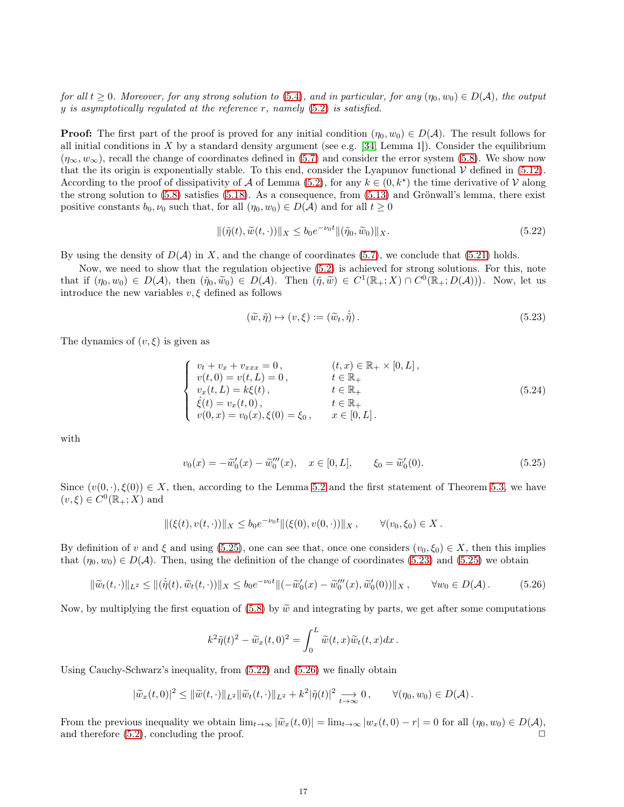for all  $t \geq 0$ . Moreover, for any strong solution to [\(5.4\)](#page-11-4), and in particular, for any  $(\eta_0, w_0) \in D(\mathcal{A})$ , the output  $y$  is asymptotically regulated at the reference  $r$ , namely  $(5.2)$  is satisfied.

**Proof:** The first part of the proof is proved for any initial condition  $(\eta_0, w_0) \in D(\mathcal{A})$ . The result follows for all initial conditions in  $X$  by a standard density argument (see e.g. [\[34,](#page-24-32) Lemma 1]). Consider the equilibrium  $(\eta_{\infty}, w_{\infty})$ , recall the change of coordinates defined in [\(5.7\)](#page-12-3) and consider the error system [\(5.8\)](#page-12-1). We show now that the its origin is exponentially stable. To this end, consider the Lyapunov functional  $\mathcal V$  defined in [\(5.12\)](#page-13-3). According to the proof of dissipativity of A of Lemma [\(5.2\)](#page-12-2), for any  $k \in (0, k^*)$  the time derivative of V along the strong solution to [\(5.8\)](#page-12-1) satisfies [\(5.18\)](#page-14-5). As a consequence, from [\(5.13\)](#page-13-2) and Grönwall's lemma, there exist positive constants  $b_0, \nu_0$  such that, for all  $(\eta_0, w_0) \in D(\mathcal{A})$  and for all  $t \geq 0$ 

<span id="page-16-2"></span>
$$
\|(\tilde{\eta}(t), \tilde{w}(t, \cdot))\|_{X} \le b_0 e^{-\nu_0 t} \|(\tilde{\eta}_0, \tilde{w}_0)\|_{X}.
$$
\n
$$
(5.22)
$$

By using the density of  $D(\mathcal{A})$  in X, and the change of coordinates [\(5.7\)](#page-12-3), we conclude that [\(5.21\)](#page-15-1) holds.

Now, we need to show that the regulation objective [\(5.2\)](#page-11-5) is achieved for strong solutions. For this, note that if  $(\eta_0, w_0) \in D(\mathcal{A})$ , then  $(\tilde{\eta}_0, \tilde{w}_0) \in D(\mathcal{A})$ . Then  $(\tilde{\eta}, \tilde{w}) \in C^1(\mathbb{R}_+; X) \cap C^0(\mathbb{R}_+; D(\mathcal{A}))$ . Now, let us introduce the new variables  $v, \xi$  defined as follows

<span id="page-16-1"></span>
$$
(\tilde{w}, \tilde{\eta}) \mapsto (v, \xi) := (\tilde{w}_t, \dot{\tilde{\eta}}). \tag{5.23}
$$

The dynamics of  $(v, \xi)$  is given as

$$
\begin{cases}\n v_t + v_x + v_{xxx} = 0, & (t, x) \in \mathbb{R}_+ \times [0, L], \\
 v(t, 0) = v(t, L) = 0, & t \in \mathbb{R}_+ \\
 v_x(t, L) = k\xi(t), & t \in \mathbb{R}_+ \\
 \dot{\xi}(t) = v_x(t, 0), & t \in \mathbb{R}_+ \\
 v(0, x) = v_0(x), \xi(0) = \xi_0, & x \in [0, L].\n\end{cases}
$$
\n(5.24)

with

<span id="page-16-0"></span>
$$
v_0(x) = -\tilde{w}'_0(x) - \tilde{w}'''_0(x), \quad x \in [0, L], \qquad \xi_0 = \tilde{w}'_0(0). \tag{5.25}
$$

Since  $(v(0, \cdot), \xi(0)) \in X$ , then, according to the Lemma [5.2](#page-12-2) and the first statement of Theorem [5.3,](#page-15-2) we have  $(v, \xi) \in C^0(\mathbb{R}_+; X)$  and

$$
\|(\xi(t),v(t,\cdot))\|_X \le b_0 e^{-\nu_0 t} \|(\xi(0),v(0,\cdot))\|_X\,, \qquad \forall (v_0,\xi_0)\in X\,.
$$

By definition of v and  $\xi$  and using [\(5.25\)](#page-16-0), one can see that, once one considers  $(v_0, \xi_0) \in X$ , then this implies that  $(\eta_0, w_0) \in D(\mathcal{A})$ . Then, using the definition of the change of coordinates [\(5.23\)](#page-16-1) and [\(5.25\)](#page-16-0) we obtain

<span id="page-16-3"></span>
$$
\|\widetilde{w}_t(t,\cdot)\|_{L^2} \le \|\langle \dot{\widetilde{\eta}}(t), \widetilde{w}_t(t,\cdot)\rangle\|_{X} \le b_0 e^{-\nu_0 t} \|(-\widetilde{w}_0'(x) - \widetilde{w}_0'''(x), \widetilde{w}_0'(0))\|_{X}, \qquad \forall w_0 \in D(\mathcal{A}).
$$
 (5.26)

Now, by multiplying the first equation of [\(5.8\)](#page-12-1) by  $\tilde{w}$  and integrating by parts, we get after some computations

$$
k^{2}\tilde{\eta}(t)^{2} - \tilde{w}_{x}(t,0)^{2} = \int_{0}^{L} \tilde{w}(t,x)\tilde{w}_{t}(t,x)dx.
$$

Using Cauchy-Schwarz's inequality, from [\(5.22\)](#page-16-2) and [\(5.26\)](#page-16-3) we finally obtain

$$
|\widetilde{w}_x(t,0)|^2 \leq ||\widetilde{w}(t,\cdot)||_{L^2} ||\widetilde{w}_t(t,\cdot)||_{L^2} + k^2 |\widetilde{\eta}(t)|^2 \underset{t \to \infty}{\longrightarrow} 0, \qquad \forall (\eta_0,w_0) \in D(\mathcal{A}).
$$

From the previous inequality we obtain  $\lim_{t\to\infty} |\tilde{w}_x(t,0)| = \lim_{t\to\infty} |w_x(t,0) - r| = 0$  for all  $(\eta_0, w_0) \in D(\mathcal{A})$ , and therefore  $(5.2)$ , concluding the proof.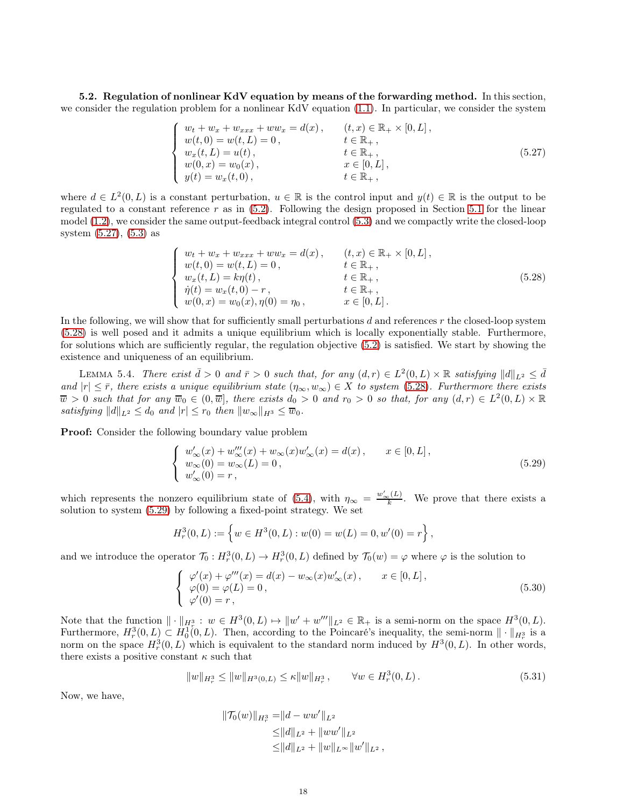<span id="page-17-0"></span>5.2. Regulation of nonlinear KdV equation by means of the forwarding method. In this section, we consider the regulation problem for a nonlinear KdV equation [\(1.1\)](#page-1-0). In particular, we consider the system

<span id="page-17-1"></span>
$$
\begin{cases}\n w_t + w_x + w_{xxx} + ww_x = d(x), & (t, x) \in \mathbb{R}_+ \times [0, L], \\
 w(t, 0) = w(t, L) = 0, & t \in \mathbb{R}_+, \\
 w_x(t, L) = u(t), & t \in \mathbb{R}_+, \\
 w(0, x) = w_0(x), & x \in [0, L], \\
 y(t) = w_x(t, 0), & t \in \mathbb{R}_+, \n\end{cases}
$$
\n(5.27)

where  $d \in L^2(0,L)$  is a constant perturbation,  $u \in \mathbb{R}$  is the control input and  $y(t) \in \mathbb{R}$  is the output to be regulated to a constant reference  $r$  as in  $(5.2)$ . Following the design proposed in Section [5.1](#page-11-1) for the linear model [\(1.2\)](#page-1-1), we consider the same output-feedback integral control [\(5.3\)](#page-11-3) and we compactly write the closed-loop system [\(5.27\)](#page-17-1), [\(5.3\)](#page-11-3) as

<span id="page-17-2"></span>
$$
\begin{cases}\n w_t + w_x + w_{xxx} + ww_x = d(x), & (t, x) \in \mathbb{R}_+ \times [0, L], \\
 w(t, 0) = w(t, L) = 0, & t \in \mathbb{R}_+, \\
 w_x(t, L) = k\eta(t), & t \in \mathbb{R}_+, \\
 \dot{\eta}(t) = w_x(t, 0) - r, & t \in \mathbb{R}_+, \\
 w(0, x) = w_0(x), \eta(0) = \eta_0, & x \in [0, L].\n\end{cases}
$$
\n(5.28)

In the following, we will show that for sufficiently small perturbations  $d$  and references  $r$  the closed-loop system [\(5.28\)](#page-17-2) is well posed and it admits a unique equilibrium which is locally exponentially stable. Furthermore, for solutions which are sufficiently regular, the regulation objective [\(5.2\)](#page-11-5) is satisfied. We start by showing the existence and uniqueness of an equilibrium.

<span id="page-17-6"></span>LEMMA 5.4. There exist  $\bar{d} > 0$  and  $\bar{r} > 0$  such that, for any  $(d, r) \in L^2(0, L) \times \mathbb{R}$  satisfying  $||d||_{L^2} \leq \bar{d}$ and  $|r| \leq \bar{r}$ , there exists a unique equilibrium state  $(\eta_{\infty}, w_{\infty}) \in X$  to system [\(5.28\)](#page-17-2). Furthermore there exists  $\overline{w} > 0$  such that for any  $\overline{w}_0 \in (0, \overline{w}]$ , there exists  $d_0 > 0$  and  $r_0 > 0$  so that, for any  $(d, r) \in L^2(0, L) \times \mathbb{R}$ satisfying  $||d||_{L^2} \leq d_0$  and  $|r| \leq r_0$  then  $||w_\infty||_{H^3} \leq \overline{w}_0$ .

**Proof:** Consider the following boundary value problem

<span id="page-17-3"></span>
$$
\begin{cases}\nw'_{\infty}(x) + w'''_{\infty}(x) + w_{\infty}(x)w'_{\infty}(x) = d(x), & x \in [0, L], \\
w_{\infty}(0) = w_{\infty}(L) = 0, & (5.29) \\
w'_{\infty}(0) = r,\n\end{cases}
$$

which represents the nonzero equilibrium state of [\(5.4\)](#page-11-4), with  $\eta_{\infty} = \frac{w'_{\infty}(L)}{k}$ . We prove that there exists a solution to system [\(5.29\)](#page-17-3) by following a fixed-point strategy. We set

$$
H_r^3(0,L) := \left\{ w \in H^3(0,L) : w(0) = w(L) = 0, w'(0) = r \right\},\,
$$

and we introduce the operator  $\mathcal{T}_0: H_r^3(0,L) \to H_r^3(0,L)$  defined by  $\mathcal{T}_0(w) = \varphi$  where  $\varphi$  is the solution to

<span id="page-17-4"></span>
$$
\begin{cases}\n\varphi'(x) + \varphi'''(x) = d(x) - w_{\infty}(x)w'_{\infty}(x), & x \in [0, L], \\
\varphi(0) = \varphi(L) = 0, & (\text{5.30}) \\
\varphi'(0) = r,\n\end{cases}
$$

Note that the function  $\|\cdot\|_{H^3_\Sigma}$ :  $w \in H^3(0,L) \mapsto \|w' + w'''\|_{L^2} \in \mathbb{R}_+$  is a semi-norm on the space  $H^3(0,L)$ . Furthermore,  $H_r^3(0,L) \subset H_0^1(0,L)$ . Then, according to the Poincaré's inequality, the semi-norm  $\|\cdot\|_{H_r^3}$  is a norm on the space  $H_r^3(0,L)$  which is equivalent to the standard norm induced by  $H^3(0,L)$ . In other words, there exists a positive constant  $\kappa$  such that

<span id="page-17-5"></span>
$$
||w||_{H_r^3} \le ||w||_{H^3(0,L)} \le \kappa ||w||_{H_r^3}, \qquad \forall w \in H_r^3(0,L). \tag{5.31}
$$

Now, we have,

$$
\|\mathcal{T}_0(w)\|_{H^3_r} = \|d - ww'\|_{L^2}
$$
  
\n
$$
\leq \|d\|_{L^2} + \|ww'\|_{L^2}
$$
  
\n
$$
\leq \|d\|_{L^2} + \|w\|_{L^\infty} \|w'\|_{L^2},
$$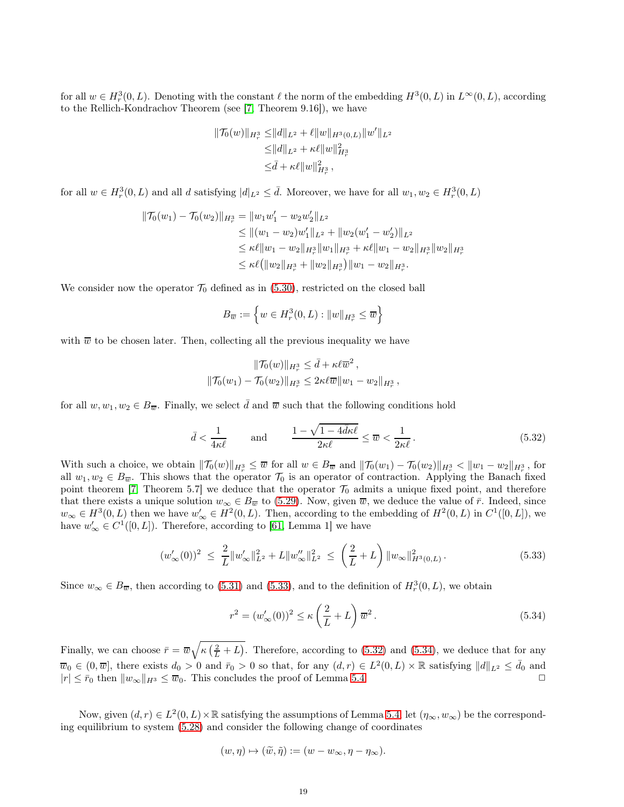for all  $w \in H_r^3(0, L)$ . Denoting with the constant  $\ell$  the norm of the embedding  $H^3(0, L)$  in  $L^{\infty}(0, L)$ , according to the Rellich-Kondrachov Theorem (see [\[7,](#page-23-9) Theorem 9.16]), we have

$$
\begin{aligned} \|\mathcal{T}_0(w)\|_{H^3_r} \leq & \|d\|_{L^2} + \ell \|w\|_{H^3(0,L)} \|w'\|_{L^2} \\ \leq & \|d\|_{L^2} + \kappa \ell \|w\|_{H^3_r}^2 \\ \leq & \bar{d} + \kappa \ell \|w\|_{H^3_r}^2 \,, \end{aligned}
$$

for all  $w \in H_r^3(0,L)$  and all d satisfying  $|d|_{L^2} \leq \bar{d}$ . Moreover, we have for all  $w_1, w_2 \in H_r^3(0,L)$ 

$$
\|\mathcal{T}_0(w_1) - \mathcal{T}_0(w_2)\|_{H^3_r} = \|w_1 w'_1 - w_2 w'_2\|_{L^2}
$$
  
\n
$$
\leq \|(w_1 - w_2)w'_1\|_{L^2} + \|w_2(w'_1 - w'_2)\|_{L^2}
$$
  
\n
$$
\leq \kappa \ell \|w_1 - w_2\|_{H^3_r} \|w_1\|_{H^3_r} + \kappa \ell \|w_1 - w_2\|_{H^3_r} \|w_2\|_{H^3_r}
$$
  
\n
$$
\leq \kappa \ell (\|w_2\|_{H^3_r} + \|w_2\|_{H^3_r}) \|w_1 - w_2\|_{H^3_r}.
$$

We consider now the operator  $\mathcal{T}_0$  defined as in [\(5.30\)](#page-17-4), restricted on the closed ball

$$
B_{\overline{w}} := \left\{ w \in H^3_r(0, L) : ||w||_{H^3_r} \leq \overline{w} \right\}
$$

with  $\overline{w}$  to be chosen later. Then, collecting all the previous inequality we have

$$
\|\mathcal{T}_0(w)\|_{H^3_r} \le \bar{d} + \kappa \ell \overline{w}^2 ,
$$
  

$$
\|\mathcal{T}_0(w_1) - \mathcal{T}_0(w_2)\|_{H^3_r} \le 2\kappa \ell \overline{w} \|w_1 - w_2\|_{H^3_r} ,
$$

for all  $w, w_1, w_2 \in B_{\overline{w}}$ . Finally, we select  $\overline{d}$  and  $\overline{w}$  such that the following conditions hold

<span id="page-18-1"></span>
$$
\bar{d} < \frac{1}{4\kappa\ell} \qquad \text{and} \qquad \frac{1 - \sqrt{1 - 4\bar{d}\kappa\ell}}{2\kappa\ell} \le \overline{w} < \frac{1}{2\kappa\ell} \,. \tag{5.32}
$$

With such a choice, we obtain  $\|\mathcal{T}_0(w)\|_{H^3_r} \leq \overline{w}$  for all  $w \in B_{\overline{w}}$  and  $\|\mathcal{T}_0(w_1) - \mathcal{T}_0(w_2)\|_{H^3_r} < \|w_1 - w_2\|_{H^3_r}$ , for all  $w_1, w_2 \in B_{\overline{w}}$ . This shows that the operator  $\mathcal{T}_0$  is an operator of contraction. Applying the Banach fixed point theorem [\[7,](#page-23-9) Theorem 5.7] we deduce that the operator  $\mathcal{T}_0$  admits a unique fixed point, and therefore that there exists a unique solution  $w_{\infty} \in B_{\overline{w}}$  to [\(5.29\)](#page-17-3). Now, given  $\overline{w}$ , we deduce the value of  $\overline{r}$ . Indeed, since  $w_{\infty} \in H^3(0, L)$  then we have  $w'_{\infty} \in H^2(0, L)$ . Then, according to the embedding of  $H^2(0, L)$  in  $C^1([0, L])$ , we have  $w'_\infty \in C^1([0,L])$ . Therefore, according to [\[61,](#page-25-13) Lemma 1] we have

<span id="page-18-0"></span>
$$
(w'_{\infty}(0))^2 \leq \frac{2}{L} \|w'_{\infty}\|_{L^2}^2 + L \|w''_{\infty}\|_{L^2}^2 \leq \left(\frac{2}{L} + L\right) \|w_{\infty}\|_{H^3(0,L)}^2.
$$
\n(5.33)

Since  $w_{\infty} \in B_{\overline{w}}$ , then according to [\(5.31\)](#page-17-5) and [\(5.33\)](#page-18-0), and to the definition of  $H_r^3(0,L)$ , we obtain

<span id="page-18-2"></span>
$$
r^{2} = (w'_{\infty}(0))^{2} \le \kappa \left(\frac{2}{L} + L\right) \overline{w}^{2}.
$$
\n
$$
(5.34)
$$

Finally, we can choose  $\bar{r} = \bar{w}\sqrt{\kappa(\frac{2}{L}+L)}$ . Therefore, according to [\(5.32\)](#page-18-1) and [\(5.34\)](#page-18-2), we deduce that for any  $\overline{w}_0 \in (0, \overline{w}]$ , there exists  $d_0 > 0$  and  $\overline{r}_0 > 0$  so that, for any  $(d, r) \in L^2(0, L) \times \mathbb{R}$  satisfying  $||d||_{L^2} \le \overline{d}_0$  and  $|r| \leq \bar{r}_0$  then  $||w_\infty||_{H^3} \leq \bar{w}_0$ . This concludes the proof of Lemma [5.4.](#page-17-6)

Now, given  $(d, r) \in L^2(0, L) \times \mathbb{R}$  satisfying the assumptions of Lemma [5.4,](#page-17-6) let  $(\eta_\infty, w_\infty)$  be the corresponding equilibrium to system [\(5.28\)](#page-17-2) and consider the following change of coordinates

$$
(w, \eta) \mapsto (\widetilde{w}, \widetilde{\eta}) := (w - w_{\infty}, \eta - \eta_{\infty}).
$$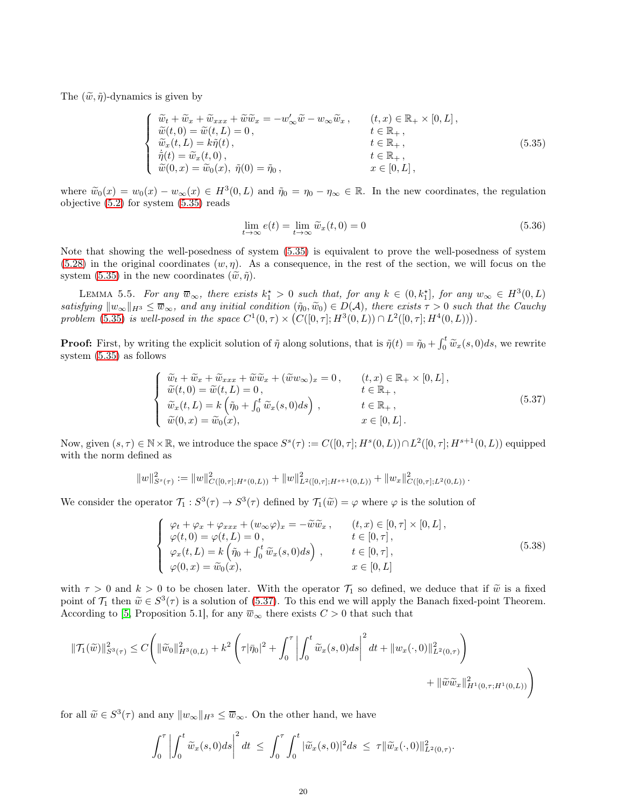The  $(\tilde{w}, \tilde{\eta})$ -dynamics is given by

<span id="page-19-0"></span>
$$
\begin{cases}\n\widetilde{w}_t + \widetilde{w}_x + \widetilde{w}_{xxx} + \widetilde{w}\widetilde{w}_x = -w'_\infty \widetilde{w} - w_\infty \widetilde{w}_x, & (t, x) \in \mathbb{R}_+ \times [0, L], \\
\widetilde{w}(t, 0) = \widetilde{w}(t, L) = 0, & t \in \mathbb{R}_+, \\
\widetilde{w}_x(t, L) = k\widetilde{\eta}(t), & t \in \mathbb{R}_+, \\
\dot{\widetilde{\eta}}(t) = \widetilde{w}_x(t, 0), & t \in \mathbb{R}_+, \\
\widetilde{w}(0, x) = \widetilde{w}_0(x), & \widetilde{\eta}(0) = \widetilde{\eta}_0, & x \in [0, L],\n\end{cases}
$$
\n(5.35)

where  $\widetilde{w}_0(x) = w_0(x) - w_\infty(x) \in H^3(0, L)$  and  $\widetilde{\eta}_0 = \eta_0 - \eta_\infty \in \mathbb{R}$ . In the new coordinates, the regulation objective [\(5.2\)](#page-11-5) for system [\(5.35\)](#page-19-0) reads

<span id="page-19-4"></span>
$$
\lim_{t \to \infty} e(t) = \lim_{t \to \infty} \widetilde{w}_x(t, 0) = 0
$$
\n(5.36)

Note that showing the well-posedness of system [\(5.35\)](#page-19-0) is equivalent to prove the well-posedness of system  $(5.28)$  in the original coordinates  $(w, \eta)$ . As a consequence, in the rest of the section, we will focus on the system [\(5.35\)](#page-19-0) in the new coordinates  $(\tilde{w}, \tilde{\eta})$ .

<span id="page-19-3"></span>LEMMA 5.5. For any  $\overline{w}_{\infty}$ , there exists  $k_1^* > 0$  such that, for any  $k \in (0, k_1^*]$ , for any  $w_{\infty} \in H^3(0, L)$ satisfying  $\|w_\infty\|_{H^3} \leq \overline{w}_\infty$ , and any initial condition  $(\tilde{\eta}_0, \tilde{w}_0) \in D(\mathcal{A})$ , there exists  $\tau > 0$  such that the Cauchy problem [\(5.35\)](#page-19-0) is well-posed in the space  $C^1(0, \tau) \times (C([0, \tau]; H^3(0, L)) \cap L^2([0, \tau]; H^4(0, L)))$ .

**Proof:** First, by writing the explicit solution of  $\tilde{\eta}$  along solutions, that is  $\tilde{\eta}(t) = \tilde{\eta}_0 + \int_0^t \tilde{w}_x(s,0)ds$ , we rewrite system [\(5.35\)](#page-19-0) as follows

<span id="page-19-1"></span>
$$
\begin{cases}\n\widetilde{w}_t + \widetilde{w}_x + \widetilde{w}_{xxx} + \widetilde{w}\widetilde{w}_x + (\widetilde{w}w_{\infty})_x = 0, & (t, x) \in \mathbb{R}_+ \times [0, L], \\
\widetilde{w}(t, 0) = \widetilde{w}(t, L) = 0, & t \in \mathbb{R}_+, \\
\widetilde{w}_x(t, L) = k \left( \widetilde{\eta}_0 + \int_0^t \widetilde{w}_x(s, 0) ds \right), & t \in \mathbb{R}_+, \\
\widetilde{w}(0, x) = \widetilde{w}_0(x), & x \in [0, L].\n\end{cases}
$$
\n(5.37)

Now, given  $(s, \tau) \in \mathbb{N} \times \mathbb{R}$ , we introduce the space  $S^s(\tau) := C([0, \tau]; H^s(0, L)) \cap L^2([0, \tau]; H^{s+1}(0, L))$  equipped with the norm defined as

$$
||w||_{S^{s}(\tau)}^{2} := ||w||_{C([0,\tau];H^{s}(0,L))}^{2} + ||w||_{L^{2}([0,\tau];H^{s+1}(0,L))}^{2} + ||w_{x}||_{C([0,\tau];L^{2}(0,L))}^{2}.
$$

We consider the operator  $\mathcal{T}_1 : S^3(\tau) \to S^3(\tau)$  defined by  $\mathcal{T}_1(\tilde{w}) = \varphi$  where  $\varphi$  is the solution of

<span id="page-19-2"></span>
$$
\begin{cases}\n\varphi_t + \varphi_x + \varphi_{xxx} + (w_\infty \varphi)_x = -\widetilde{w}\widetilde{w}_x, & (t, x) \in [0, \tau] \times [0, L], \\
\varphi(t, 0) = \varphi(t, L) = 0, & t \in [0, \tau], \\
\varphi_x(t, L) = k \left( \widetilde{\eta}_0 + \int_0^t \widetilde{w}_x(s, 0) ds \right), & t \in [0, \tau], \\
\varphi(0, x) = \widetilde{w}_0(x), & x \in [0, L]\n\end{cases}
$$
\n(5.38)

with  $\tau > 0$  and  $k > 0$  to be chosen later. With the operator  $\mathcal{T}_1$  so defined, we deduce that if  $\tilde{w}$  is a fixed point of  $\mathcal{T}_1$  then  $\widetilde{w} \in S^3(\tau)$  is a solution of [\(5.37\)](#page-19-1). To this end we will apply the Banach fixed-point Theorem. According to [\[5,](#page-23-8) Proposition 5.1], for any  $\overline{w}_{\infty}$  there exists  $C > 0$  that such that

$$
\begin{aligned} \|\mathcal{T}_1(\widetilde{w})\|_{S^3(\tau)}^2 &\leq C \Bigg( \|\widetilde{w}_0\|_{H^3(0,L)}^2 + k^2 \left( \tau |\bar{\eta}_0|^2 + \int_0^\tau \left| \int_0^t \widetilde{w}_x(s,0) ds \right|^2 dt + \|w_x(\cdot,0)\|_{L^2(0,\tau)}^2 \right) \\ &+ \|\widetilde{w}\widetilde{w}_x\|_{H^1(0,\tau;H^1(0,L))}^2 \Bigg) \end{aligned}
$$

for all  $\widetilde{w} \in S^3(\tau)$  and any  $||w_{\infty}||_{H^3} \le \overline{w}_{\infty}$ . On the other hand, we have

$$
\int_0^{\tau} \left| \int_0^t \widetilde{w}_x(s,0)ds \right|^2 dt \leq \int_0^{\tau} \int_0^t |\widetilde{w}_x(s,0)|^2 ds \leq \tau \|\widetilde{w}_x(\cdot,0)\|_{L^2(0,\tau)}^2.
$$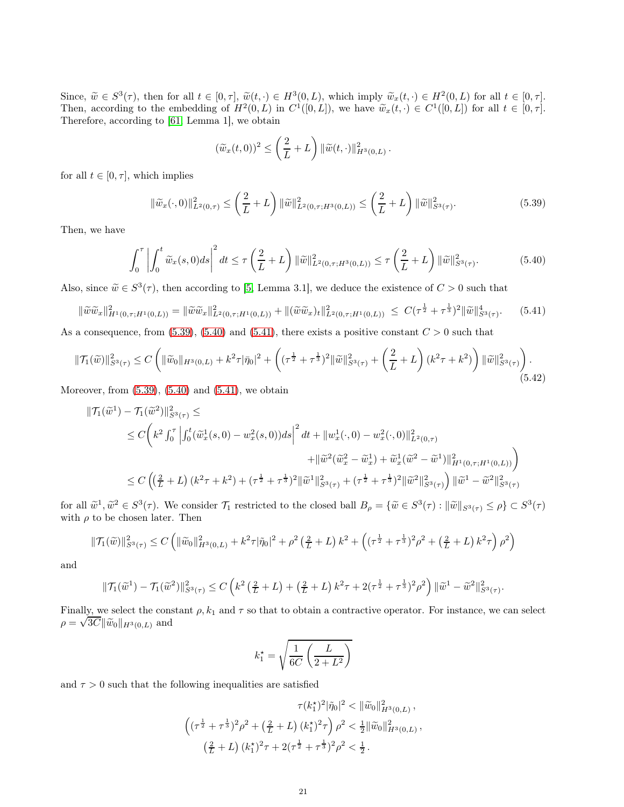Since,  $\widetilde{w} \in S^3(\tau)$ , then for all  $t \in [0, \tau]$ ,  $\widetilde{w}(t, \cdot) \in H^3(0, L)$ , which imply  $\widetilde{w}_x(t, \cdot) \in H^2(0, L)$  for all  $t \in [0, \tau]$ . Then, according to the embedding of  $H^2(0,L)$  in  $C^1([0,L])$ , we have  $\widetilde{w}_x(t,\cdot) \in C^1([0,L])$  for all  $t \in [0,\tau]$ . Therefore, according to [\[61,](#page-25-13) Lemma 1], we obtain

$$
(\widetilde{w}_x(t,0))^2 \leq \left(\frac{2}{L}+L\right) \|\widetilde{w}(t,\cdot)\|_{H^3(0,L)}^2.
$$

for all  $t \in [0, \tau]$ , which implies

<span id="page-20-0"></span>
$$
\|\widetilde{w}_x(\cdot,0)\|_{L^2(0,\tau)}^2 \le \left(\frac{2}{L} + L\right) \|\widetilde{w}\|_{L^2(0,\tau;H^3(0,L))}^2 \le \left(\frac{2}{L} + L\right) \|\widetilde{w}\|_{S^3(\tau)}^2. \tag{5.39}
$$

Then, we have

<span id="page-20-1"></span>
$$
\int_0^{\tau} \left| \int_0^t \widetilde{w}_x(s,0)ds \right|^2 dt \le \tau \left( \frac{2}{L} + L \right) \|\widetilde{w}\|_{L^2(0,\tau;H^3(0,L))}^2 \le \tau \left( \frac{2}{L} + L \right) \|\widetilde{w}\|_{S^3(\tau)}^2. \tag{5.40}
$$

Also, since  $\tilde{w} \in S^3(\tau)$ , then according to [\[5,](#page-23-8) Lemma 3.1], we deduce the existence of  $C > 0$  such that

<span id="page-20-2"></span>
$$
\|\widetilde{w}\widetilde{w}_x\|_{H^1(0,\tau;H^1(0,L))}^2 = \|\widetilde{w}\widetilde{w}_x\|_{L^2(0,\tau;H^1(0,L))}^2 + \|(\widetilde{w}\widetilde{w}_x)_t\|_{L^2(0,\tau;H^1(0,L))}^2 \le C(\tau^{\frac{1}{2}} + \tau^{\frac{1}{3}})^2 \|\widetilde{w}\|_{S^3(\tau)}^4.
$$
 (5.41)

As a consequence, from  $(5.39)$ ,  $(5.40)$  and  $(5.41)$ , there exists a positive constant  $C > 0$  such that

$$
\|\mathcal{T}_1(\widetilde{w})\|_{S^3(\tau)}^2 \le C \left( \|\widetilde{w}_0\|_{H^3(0,L)} + k^2 \tau |\bar{\eta}_0|^2 + \left( (\tau^{\frac{1}{2}} + \tau^{\frac{1}{3}})^2 \|\widetilde{w}\|_{S^3(\tau)}^2 + \left(\frac{2}{L} + L\right) (k^2 \tau + k^2) \right) \|\widetilde{w}\|_{S^3(\tau)}^2 \right). \tag{5.42}
$$

Moreover, from  $(5.39)$ ,  $(5.40)$  and  $(5.41)$ , we obtain

$$
\begin{split} \|\mathcal{T}_{1}(\widetilde{w}^{1}) - \mathcal{T}_{1}(\widetilde{w}^{2})\|_{S^{3}(\tau)}^{2} &\leq \\ &\leq C\bigg(k^{2}\int_{0}^{\tau}\left|\int_{0}^{t}(\widetilde{w}_{x}^{1}(s,0) - w_{x}^{2}(s,0))ds\right|^{2}dt + \|w_{x}^{1}(\cdot,0) - w_{x}^{2}(\cdot,0)\|_{L^{2}(0,\tau)}^{2} \\ &\quad + \|\widetilde{w}^{2}(\widetilde{w}_{x}^{2} - \widetilde{w}_{x}^{1}) + \widetilde{w}_{x}^{1}(\widetilde{w}^{2} - \widetilde{w}^{1})\|_{H^{1}(0,\tau;H^{1}(0,L))}^{2}\bigg) \\ &\leq C\left(\left(\frac{2}{L} + L\right)(k^{2}\tau + k^{2}) + (\tau^{\frac{1}{2}} + \tau^{\frac{1}{3}})^{2}\|\widetilde{w}^{1}\|_{S^{3}(\tau)}^{2} + (\tau^{\frac{1}{2}} + \tau^{\frac{1}{3}})^{2}\|\widetilde{w}^{2}\|_{S^{3}(\tau)}^{2}\right)\|\widetilde{w}^{1} - \widetilde{w}^{2}\|_{S^{3}(\tau)}^{2}\bigg\|_{S^{3}(\tau)}^{2} \end{split}
$$

for all  $\tilde{w}^1$ ,  $\tilde{w}^2 \in S^3(\tau)$ . We consider  $\mathcal{T}_1$  restricted to the closed ball  $B_\rho = {\{\tilde{w} \in S^3(\tau) : ||\tilde{w}||_{S^3(\tau)} \leq \rho\}} \subset S^3(\tau)$ with  $\rho$  to be chosen later. Then

$$
\|\mathcal{T}_1(\widetilde{w})\|_{S^3(\tau)}^2 \le C \left( \|\widetilde{w}_0\|_{H^3(0,L)}^2 + k^2 \tau |\widetilde{\eta}_0|^2 + \rho^2 \left(\frac{2}{L} + L\right) k^2 + \left( (\tau^{\frac{1}{2}} + \tau^{\frac{1}{3}})^2 \rho^2 + \left(\frac{2}{L} + L\right) k^2 \tau \right) \rho^2 \right)
$$

and

$$
\|\mathcal{T}_1(\widetilde{w}^1) - \mathcal{T}_1(\widetilde{w}^2)\|_{S^3(\tau)}^2 \le C\left(k^2\left(\frac{2}{L} + L\right) + \left(\frac{2}{L} + L\right)k^2\tau + 2(\tau^{\frac{1}{2}} + \tau^{\frac{1}{3}})^2\rho^2\right) \|\widetilde{w}^1 - \widetilde{w}^2\|_{S^3(\tau)}^2.
$$

Finally, we select the constant  $\rho$ ,  $k_1$  and  $\tau$  so that to obtain a contractive operator. For instance, we can select  $\rho = \sqrt{3C} \|\tilde{w}_0\|_{H^3(0,L)}$  and

$$
k_1^\star = \sqrt{\frac{1}{6C}\left(\frac{L}{2+L^2}\right)}
$$

and  $\tau > 0$  such that the following inequalities are satisfied

$$
\tau(k_1^*)^2 |\tilde{\eta}_0|^2 < \|\tilde{w}_0\|_{H^3(0,L)}^2,
$$
\n
$$
\left( (\tau^{\frac{1}{2}} + \tau^{\frac{1}{3}})^2 \rho^2 + \left(\frac{2}{L} + L\right) (k_1^*)^2 \tau \right) \rho^2 < \frac{1}{2} \|\tilde{w}_0\|_{H^3(0,L)}^2,
$$
\n
$$
\left(\frac{2}{L} + L\right) (k_1^*)^2 \tau + 2(\tau^{\frac{1}{2}} + \tau^{\frac{1}{3}})^2 \rho^2 < \frac{1}{2}.
$$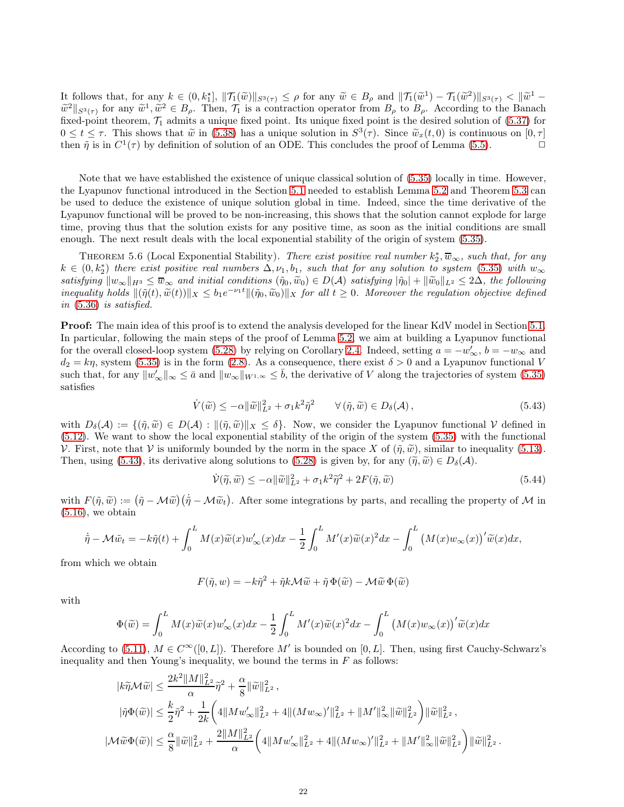It follows that, for any  $k \in (0, k_1^*], ||\mathcal{T}_1(\widetilde{w})||_{S^3(\tau)} \leq \rho$  for any  $\widetilde{w} \in B_\rho$  and  $||\mathcal{T}_1(\widetilde{w}^1) - \mathcal{T}_1(\widetilde{w}^2)||_{S^3(\tau)} \leq ||\widetilde{w}^1 - \widetilde{w}^2||_{S^3(\tau)} \leq ||\widetilde{w}^1 - \widetilde{w}^2||_{S^3(\tau)} \leq ||\widetilde{w}^1 - \widetilde{w}^2$  $\widetilde{w}^2||_{S^3(\tau)}$  for any  $\widetilde{w}^1, \widetilde{w}^2 \in B_\rho$ . Then,  $\mathcal{T}_1$  is a contraction operator from  $B_\rho$  to  $B_\rho$ . According to the Banach fixed-point theorem,  $\mathcal{T}_1$  admits a unique fixed point. Its unique fixed point is the desired solution of [\(5.37\)](#page-19-1) for  $0 \le t \le \tau$ . This shows that  $\tilde{w}$  in [\(5.38\)](#page-19-2) has a unique solution in  $S^3(\tau)$ . Since  $\tilde{w}_x(t,0)$  is continuous on  $[0,\tau]$ then  $\tilde{\eta}$  is in  $C^1(\tau)$  by definition of solution of an ODE. This concludes the proof of Lemma [\(5.5\)](#page-19-3).

Note that we have established the existence of unique classical solution of [\(5.35\)](#page-19-0) locally in time. However, the Lyapunov functional introduced in the Section [5.1](#page-11-1) needed to establish Lemma [5.2](#page-12-2) and Theorem [5.3](#page-15-2) can be used to deduce the existence of unique solution global in time. Indeed, since the time derivative of the Lyapunov functional will be proved to be non-increasing, this shows that the solution cannot explode for large time, proving thus that the solution exists for any positive time, as soon as the initial conditions are small enough. The next result deals with the local exponential stability of the origin of system [\(5.35\)](#page-19-0).

<span id="page-21-2"></span>THEOREM 5.6 (Local Exponential Stability). There exist positive real number  $k_2^*, \overline{w}_{\infty}$ , such that, for any  $k \in (0, k_2^*)$  there exist positive real numbers  $\Delta, \nu_1, b_1$ , such that for any solution to system [\(5.35\)](#page-19-0) with  $w_{\infty}$ satisfying  $\|w_\infty\|_{H^3} \leq \overline{w}_\infty$  and initial conditions  $(\tilde{\eta}_0, \tilde{w}_0) \in D(\mathcal{A})$  satisfying  $|\tilde{\eta}_0| + ||\tilde{w}_0||_{L^2} \leq 2\Delta$ , the following inequality holds  $\|(\tilde{\eta}(t), \tilde{w}(t))\|_X \le b_1 e^{-\nu_1 t} \|(\tilde{\eta}_0, \tilde{w}_0)\|_X$  for all  $t \ge 0$ . Moreover the regulation objective defined in [\(5.36\)](#page-19-4) is satisfied.

Proof: The main idea of this proof is to extend the analysis developed for the linear KdV model in Section [5.1.](#page-11-1) In particular, following the main steps of the proof of Lemma [5.2,](#page-12-2) we aim at building a Lyapunov functional for the overall closed-loop system [\(5.28\)](#page-17-2) by relying on Corollary [2.4.](#page-4-4) Indeed, setting  $a = -w'_{\infty}, b = -w_{\infty}$  and  $d_2 = k\eta$ , system [\(5.35\)](#page-19-0) is in the form [\(2.8\)](#page-4-2). As a consequence, there exist  $\delta > 0$  and a Lyapunov functional V such that, for any  $||w'_{\infty}||_{\infty} \leq \bar{a}$  and  $||w_{\infty}||_{W^{1,\infty}} \leq \bar{b}$ , the derivative of V along the trajectories of system [\(5.35\)](#page-19-0) satisfies

<span id="page-21-0"></span>
$$
\dot{V}(\tilde{w}) \le -\alpha \|\tilde{w}\|_{L^2}^2 + \sigma_1 k^2 \tilde{\eta}^2 \qquad \forall (\tilde{\eta}, \tilde{w}) \in D_{\delta}(\mathcal{A}), \tag{5.43}
$$

with  $D_{\delta}(\mathcal{A}) := \{(\tilde{\eta}, \tilde{w}) \in D(\mathcal{A}) : ||(\tilde{\eta}, \tilde{w})||_X \leq \delta\}$ . Now, we consider the Lyapunov functional V defined in [\(5.12\)](#page-13-3). We want to show the local exponential stability of the origin of the system [\(5.35\)](#page-19-0) with the functional V. First, note that V is uniformly bounded by the norm in the space X of  $(\tilde{\eta}, \tilde{w})$ , similar to inequality [\(5.13\)](#page-13-2). Then, using [\(5.43\)](#page-21-0), its derivative along solutions to [\(5.28\)](#page-17-2) is given by, for any  $(\tilde{\eta}, \tilde{w}) \in D_{\delta}(\mathcal{A})$ .

<span id="page-21-1"></span>
$$
\dot{\mathcal{V}}(\tilde{\eta}, \tilde{w}) \le -\alpha \|\tilde{w}\|_{L^2}^2 + \sigma_1 k^2 \tilde{\eta}^2 + 2F(\tilde{\eta}, \tilde{w})
$$
\n(5.44)

with  $F(\tilde{\eta}, \tilde{w}) := (\tilde{\eta} - \mathcal{M}\tilde{w})(\dot{\tilde{\eta}} - \mathcal{M}\tilde{w}_t)$ . After some integrations by parts, and recalling the property of  $\mathcal M$  in  $(5.16)$ , we obtain

$$
\dot{\tilde{\eta}} - \mathcal{M}\tilde{w}_t = -k\tilde{\eta}(t) + \int_0^L M(x)\tilde{w}(x)w'_{\infty}(x)dx - \frac{1}{2}\int_0^L M'(x)\tilde{w}(x)^2dx - \int_0^L \left(M(x)w_{\infty}(x)\right)' \tilde{w}(x)dx,
$$

from which we obtain

$$
F(\tilde{\eta}, w) = -k\tilde{\eta}^2 + \tilde{\eta}k\mathcal{M}\tilde{w} + \tilde{\eta}\,\Phi(\tilde{w}) - \mathcal{M}\tilde{w}\,\Phi(\tilde{w})
$$

with

$$
\Phi(\widetilde{w}) = \int_0^L M(x)\widetilde{w}(x)w'_{\infty}(x)dx - \frac{1}{2}\int_0^L M'(x)\widetilde{w}(x)^2dx - \int_0^L \left(M(x)w_{\infty}(x)\right)'\widetilde{w}(x)dx
$$

According to [\(5.11\)](#page-13-4),  $M \in C^{\infty}([0, L])$ . Therefore M' is bounded on [0, L]. Then, using first Cauchy-Schwarz's inequality and then Young's inequality, we bound the terms in  $F$  as follows:

$$
\begin{aligned} |k\widetilde{\eta}\mathcal{M}\widetilde{w}|&\leq \frac{2k^2\|M\|_{L^2}^2}{\alpha}\widetilde{\eta}^2+\frac{\alpha}{8}\|\widetilde{w}\|_{L^2}^2\,,\\ |\widetilde{\eta}\Phi(\widetilde{w})|&\leq \frac{k}{2}\widetilde{\eta}^2+\frac{1}{2k}\bigg(4\|Mw_\infty'\|_{L^2}^2+4\|(Mw_\infty)'\|_{L^2}^2+\|M'\|_\infty^2\|\widetilde{w}\|_{L^2}^2\bigg)\|\widetilde{w}\|_{L^2}^2\,,\\ |\mathcal{M}\widetilde{w}\Phi(\widetilde{w})|&\leq \frac{\alpha}{8}\|\widetilde{w}\|_{L^2}^2+\frac{2\|M\|_{L^2}^2}{\alpha}\bigg(4\|Mw_\infty'\|_{L^2}^2+4\|(Mw_\infty)'\|_{L^2}^2+\|M'\|_\infty^2\|\widetilde{w}\|_{L^2}^2\bigg)\|\widetilde{w}\|_{L^2}^2\,. \end{aligned}
$$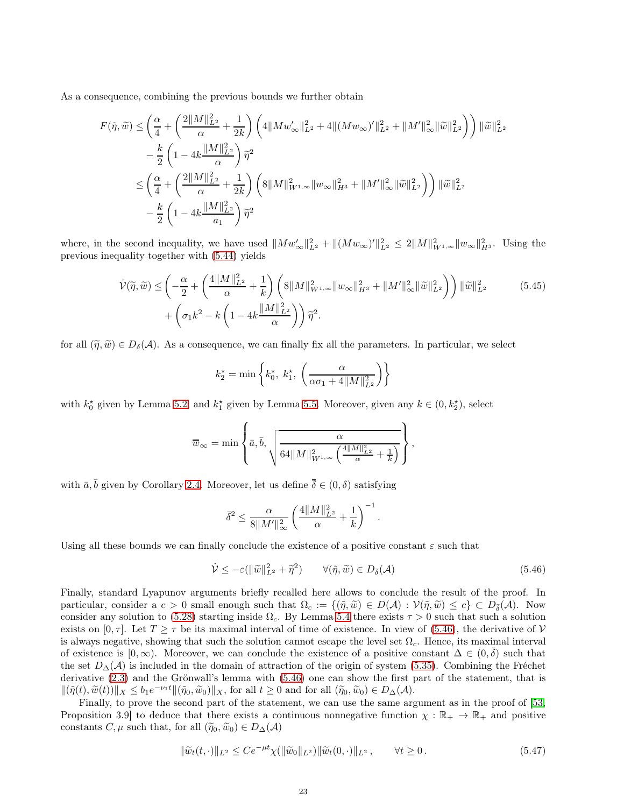As a consequence, combining the previous bounds we further obtain

$$
\begin{split} F(\tilde{\eta},\widetilde{w}) & \leq \left( \frac{\alpha}{4} + \left( \frac{2\|M\|_{L^2}^2}{\alpha} + \frac{1}{2k} \right) \left( 4\|Mw_\infty'\|_{L^2}^2 + 4\|(Mw_\infty)'\|_{L^2}^2 + \|M'\|_\infty^2 \|\widetilde{w}\|_{L^2}^2 \right) \right) \|\widetilde{w}\|_{L^2}^2 \\ & \quad - \frac{k}{2} \left( 1 - 4k \frac{\|M\|_{L^2}^2}{\alpha} \right) \widetilde{\eta}^2 \\ & \leq \left( \frac{\alpha}{4} + \left( \frac{2\|M\|_{L^2}^2}{\alpha} + \frac{1}{2k} \right) \left( 8\|M\|_{W^{1,\infty}}^2 \|w_\infty\|_{H^3}^2 + \|M'\|_\infty^2 \|\widetilde{w}\|_{L^2}^2 \right) \right) \|\widetilde{w}\|_{L^2}^2 \\ & \quad - \frac{k}{2} \left( 1 - 4k \frac{\|M\|_{L^2}^2}{a_1} \right) \widetilde{\eta}^2 \end{split}
$$

where, in the second inequality, we have used  $||Mw'_{\infty}||_{L^2}^2 + ||(Mw_{\infty})'||_{L^2}^2 \leq 2||M||_{W^{1,\infty}}^2 ||w_{\infty}||_{H^3}^2$ . Using the previous inequality together with [\(5.44\)](#page-21-1) yields

$$
\dot{\mathcal{V}}(\tilde{\eta}, \tilde{w}) \le \left( -\frac{\alpha}{2} + \left( \frac{4||M||_{L^2}^2}{\alpha} + \frac{1}{k} \right) \left( 8||M||_{W^{1,\infty}}^2 ||w_\infty||_{H^3}^2 + ||M'||_\infty^2 ||\tilde{w}||_{L^2}^2 \right) \right) ||\tilde{w}||_{L^2}^2 + \left( \sigma_1 k^2 - k \left( 1 - 4k \frac{||M||_{L^2}^2}{\alpha} \right) \right) \tilde{\eta}^2.
$$
\n(5.45)

for all  $(\tilde{\eta}, \tilde{w}) \in D_{\delta}(\mathcal{A})$ . As a consequence, we can finally fix all the parameters. In particular, we select

$$
k_2^* = \min\left\{k_0^*, \ k_1^*, \ \left(\frac{\alpha}{\alpha \sigma_1 + 4\|M\|_{L^2}^2}\right)\right\}
$$

with  $k_0^*$  given by Lemma [5.2,](#page-12-2) and  $k_1^*$  given by Lemma [5.5.](#page-19-3) Moreover, given any  $k \in (0, k_2^*)$ , select

$$
\overline{w}_{\infty} = \min \left\{ \overline{a}, \overline{b}, \sqrt{\frac{\alpha}{64\|M\|_{W^{1,\infty}}^2 \left(\frac{4\|M\|_{L^2}^2}{\alpha} + \frac{1}{k}\right)}} \right\},\,
$$

with  $\bar{a}, \bar{b}$  given by Corollary [2.4.](#page-4-4) Moreover, let us define  $\bar{\delta} \in (0, \delta)$  satisfying

$$
\bar{\delta}^2 \le \frac{\alpha}{8\|M'\|_{\infty}^2} \left(\frac{4\|M\|_{L^2}^2}{\alpha} + \frac{1}{k}\right)^{-1}.
$$

Using all these bounds we can finally conclude the existence of a positive constant  $\varepsilon$  such that

<span id="page-22-0"></span>
$$
\dot{\mathcal{V}} \le -\varepsilon ( \|\widetilde{w}\|_{L^2}^2 + \widetilde{\eta}^2) \qquad \forall (\widetilde{\eta}, \widetilde{w}) \in D_{\bar{\delta}}(\mathcal{A}) \tag{5.46}
$$

Finally, standard Lyapunov arguments briefly recalled here allows to conclude the result of the proof. In particular, consider a  $c > 0$  small enough such that  $\Omega_c := \{(\tilde{\eta}, \tilde{w}) \in D(\mathcal{A}) : \mathcal{V}(\tilde{\eta}, \tilde{w}) \leq c\} \subset D_{\tilde{\delta}}(\mathcal{A})$ . Now consider any solution to [\(5.28\)](#page-17-2) starting inside  $\Omega_c$ . By Lemma [5.4](#page-17-6) there exists  $\tau > 0$  such that such a solution exists on [0,  $\tau$ ]. Let  $T \geq \tau$  be its maximal interval of time of existence. In view of [\(5.46\)](#page-22-0), the derivative of V is always negative, showing that such the solution cannot escape the level set  $\Omega_c$ . Hence, its maximal interval of existence is  $[0, \infty)$ . Moreover, we can conclude the existence of a positive constant  $\Delta \in (0, \overline{\delta})$  such that the set  $D_{\Delta}(\mathcal{A})$  is included in the domain of attraction of the origin of system [\(5.35\)](#page-19-0). Combining the Fréchet derivative [\(2.3\)](#page-3-3) and the Grönwall's lemma with [\(5.46\)](#page-22-0) one can show the first part of the statement, that is  $\|(\tilde{\eta}(t), \tilde{w}(t))\|_X \leq b_1 e^{-\nu_1 t} \|(\tilde{\eta}_0, \tilde{w}_0)\|_X$ , for all  $t \geq 0$  and for all  $(\tilde{\eta}_0, \tilde{w}_0) \in D_{\Delta}(\mathcal{A})$ .

Finally, to prove the second part of the statement, we can use the same argument as in the proof of [\[53,](#page-25-14) Proposition 3.9] to deduce that there exists a continuous nonnegative function  $\chi : \mathbb{R}_+ \to \mathbb{R}_+$  and positive constants  $C, \mu$  such that, for all  $(\widetilde{\eta}_0, \widetilde{w}_0) \in D_{\Delta}(\mathcal{A})$ 

$$
\|\widetilde{w}_t(t,\cdot)\|_{L^2} \le Ce^{-\mu t}\chi(\|\widetilde{w}_0\|_{L^2})\|\widetilde{w}_t(0,\cdot)\|_{L^2}, \qquad \forall t \ge 0.
$$
\n
$$
(5.47)
$$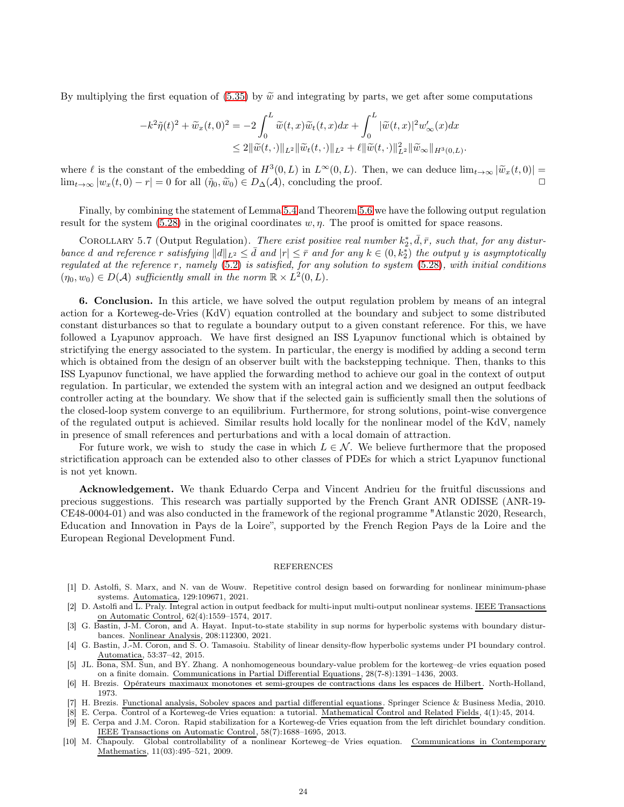By multiplying the first equation of [\(5.35\)](#page-19-0) by  $\tilde{w}$  and integrating by parts, we get after some computations

$$
-k^2\tilde{\eta}(t)^2 + \tilde{w}_x(t,0)^2 = -2\int_0^L \tilde{w}(t,x)\tilde{w}_t(t,x)dx + \int_0^L |\tilde{w}(t,x)|^2 w'_\infty(x)dx
$$
  

$$
\leq 2\|\tilde{w}(t,\cdot)\|_{L^2}\|\tilde{w}_t(t,\cdot)\|_{L^2} + \ell\|\tilde{w}(t,\cdot)\|_{L^2}^2\|\tilde{w}_\infty\|_{H^3(0,L)}.
$$

where  $\ell$  is the constant of the embedding of  $H^3(0,L)$  in  $L^{\infty}(0,L)$ . Then, we can deduce  $\lim_{t\to\infty} |\tilde{w}_x(t,0)| =$  $\lim_{t\to\infty} |w_x(t,0)-r|=0$  for all  $(\tilde{\eta}_0, \tilde{w}_0)\in D_{\Delta}(\mathcal{A})$ , concluding the proof.

Finally, by combining the statement of Lemma [5.4](#page-17-6) and Theorem [5.6](#page-21-2) we have the following output regulation result for the system  $(5.28)$  in the original coordinates w,  $\eta$ . The proof is omitted for space reasons.

COROLLARY 5.7 (Output Regulation). There exist positive real number  $k_2^*, \bar{d}, \bar{r}$ , such that, for any disturbance d and reference r satisfying  $||d||_{L^2} \leq \bar{d}$  and  $|r| \leq \bar{r}$  and for any  $k \in (0, k_2^*)$  the output y is asymptotically regulated at the reference r, namely [\(5.2\)](#page-11-5) is satisfied, for any solution to system [\(5.28\)](#page-17-2), with initial conditions  $(\eta_0, w_0) \in D(\mathcal{A})$  sufficiently small in the norm  $\mathbb{R} \times L^2(0, L)$ .

<span id="page-23-7"></span>6. Conclusion. In this article, we have solved the output regulation problem by means of an integral action for a Korteweg-de-Vries (KdV) equation controlled at the boundary and subject to some distributed constant disturbances so that to regulate a boundary output to a given constant reference. For this, we have followed a Lyapunov approach. We have first designed an ISS Lyapunov functional which is obtained by strictifying the energy associated to the system. In particular, the energy is modified by adding a second term which is obtained from the design of an observer built with the backstepping technique. Then, thanks to this ISS Lyapunov functional, we have applied the forwarding method to achieve our goal in the context of output regulation. In particular, we extended the system with an integral action and we designed an output feedback controller acting at the boundary. We show that if the selected gain is sufficiently small then the solutions of the closed-loop system converge to an equilibrium. Furthermore, for strong solutions, point-wise convergence of the regulated output is achieved. Similar results hold locally for the nonlinear model of the KdV, namely in presence of small references and perturbations and with a local domain of attraction.

For future work, we wish to study the case in which  $L \in \mathcal{N}$ . We believe furthermore that the proposed strictification approach can be extended also to other classes of PDEs for which a strict Lyapunov functional is not yet known.

Acknowledgement. We thank Eduardo Cerpa and Vincent Andrieu for the fruitful discussions and precious suggestions. This research was partially supported by the French Grant ANR ODISSE (ANR-19- CE48-0004-01) and was also conducted in the framework of the regional programme "Atlanstic 2020, Research, Education and Innovation in Pays de la Loire", supported by the French Region Pays de la Loire and the European Regional Development Fund.

## REFERENCES

- <span id="page-23-4"></span>[1] D. Astolfi, S. Marx, and N. van de Wouw. Repetitive control design based on forwarding for nonlinear minimum-phase systems. Automatica, 129:109671, 2021.
- <span id="page-23-3"></span>[2] D. Astolfi and L. Praly. Integral action in output feedback for multi-input multi-output nonlinear systems. IEEE Transactions on Automatic Control, 62(4):1559–1574, 2017.
- <span id="page-23-6"></span>[3] G. Bastin, J-M. Coron, and A. Hayat. Input-to-state stability in sup norms for hyperbolic systems with boundary disturbances. Nonlinear Analysis, 208:112300, 2021.
- <span id="page-23-5"></span>[4] G. Bastin, J.-M. Coron, and S. O. Tamasoiu. Stability of linear density-flow hyperbolic systems under PI boundary control. Automatica, 53:37–42, 2015.
- <span id="page-23-8"></span>[5] JL. Bona, SM. Sun, and BY. Zhang. A nonhomogeneous boundary-value problem for the korteweg–de vries equation posed on a finite domain. Communications in Partial Differential Equations, 28(7-8):1391–1436, 2003.
- [6] H. Brezis. Opérateurs maximaux monotones et semi-groupes de contractions dans les espaces de Hilbert. North-Holland, 1973.
- <span id="page-23-9"></span><span id="page-23-0"></span>[7] H. Brezis. Functional analysis, Sobolev spaces and partial differential equations. Springer Science & Business Media, 2010.
- <span id="page-23-2"></span>[8] E. Cerpa. Control of a Korteweg-de Vries equation: a tutorial. Mathematical Control and Related Fields, 4(1):45, 2014.
- [9] E. Cerpa and J.M. Coron. Rapid stabilization for a Korteweg-de Vries equation from the left dirichlet boundary condition. IEEE Transactions on Automatic Control, 58(7):1688–1695, 2013.
- <span id="page-23-1"></span>[10] M. Chapouly. Global controllability of a nonlinear Korteweg–de Vries equation. Communications in Contemporary Mathematics, 11(03):495–521, 2009.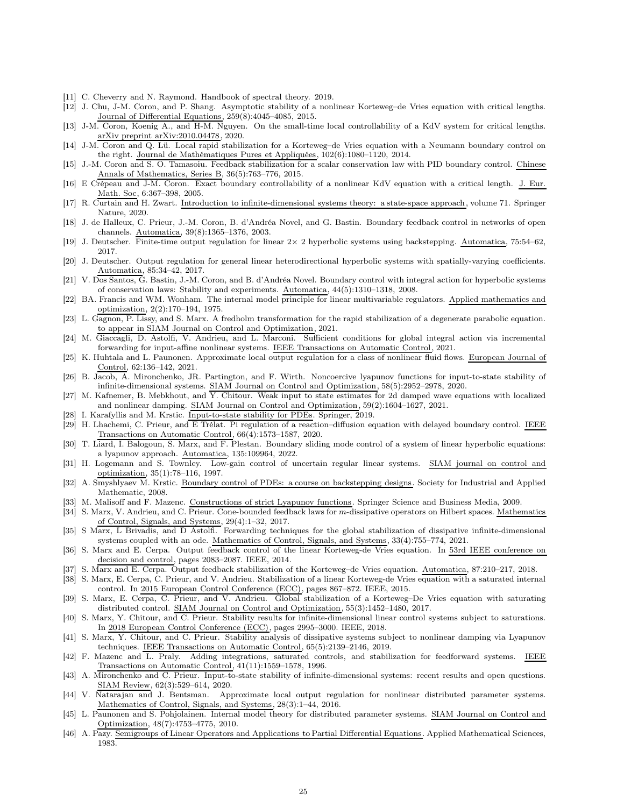- <span id="page-24-34"></span><span id="page-24-4"></span>[11] C. Cheverry and N. Raymond. Handbook of spectral theory. 2019.
- [12] J. Chu, J-M. Coron, and P. Shang. Asymptotic stability of a nonlinear Korteweg–de Vries equation with critical lengths. Journal of Differential Equations, 259(8):4045–4085, 2015.
- <span id="page-24-0"></span>[13] J-M. Coron, Koenig A., and H-M. Nguyen. On the small-time local controllability of a KdV system for critical lengths. arXiv preprint arXiv:2010.04478, 2020.
- <span id="page-24-1"></span>[14] J-M. Coron and Q. Lü. Local rapid stabilization for a Korteweg–de Vries equation with a Neumann boundary control on the right. Journal de Mathématiques Pures et Appliquées, 102(6):1080–1120, 2014.
- <span id="page-24-15"></span>[15] J.-M. Coron and S. O. Tamasoiu. Feedback stabilization for a scalar conservation law with PID boundary control. Chinese Annals of Mathematics, Series B, 36(5):763–776, 2015.
- <span id="page-24-29"></span>[16] E Crépeau and J-M. Coron. Exact boundary controllability of a nonlinear KdV equation with a critical length. J. Eur. Math. Soc, 6:367–398, 2005.
- <span id="page-24-31"></span>[17] R. Curtain and H. Zwart. Introduction to infinite-dimensional systems theory: a state-space approach, volume 71. Springer Nature, 2020.
- <span id="page-24-13"></span>[18] J. de Halleux, C. Prieur, J.-M. Coron, B. d'Andréa Novel, and G. Bastin. Boundary feedback control in networks of open channels. Automatica, 39(8):1365–1376, 2003.
- <span id="page-24-19"></span><span id="page-24-18"></span>[19] J. Deutscher. Finite-time output regulation for linear 2× 2 hyperbolic systems using backstepping. Automatica, 75:54–62, 2017.
- [20] J. Deutscher. Output regulation for general linear heterodirectional hyperbolic systems with spatially-varying coefficients. Automatica, 85:34–42, 2017.
- <span id="page-24-17"></span>[21] V. Dos Santos, G. Bastin, J.-M. Coron, and B. d'Andréa Novel. Boundary control with integral action for hyperbolic systems of conservation laws: Stability and experiments. Automatica, 44(5):1310–1318, 2008.
- <span id="page-24-10"></span>[22] BA. Francis and WM. Wonham. The internal model principle for linear multivariable regulators. Applied mathematics and optimization, 2(2):170–194, 1975.
- <span id="page-24-27"></span>[23] L. Gagnon, P. Lissy, and S. Marx. A fredholm transformation for the rapid stabilization of a degenerate parabolic equation. to appear in SIAM Journal on Control and Optimization, 2021.
- <span id="page-24-12"></span>[24] M. Giaccagli, D. Astolfi, V. Andrieu, and L. Marconi. Sufficient conditions for global integral action via incremental forwarding for input-affine nonlinear systems. IEEE Transactions on Automatic Control, 2021.
- <span id="page-24-22"></span>[25] K. Huhtala and L. Paunonen. Approximate local output regulation for a class of nonlinear fluid flows. European Journal of Control, 62:136–142, 2021.
- <span id="page-24-7"></span>[26] B. Jacob, A. Mironchenko, JR. Partington, and F. Wirth. Noncoercive lyapunov functions for input-to-state stability of infinite-dimensional systems. SIAM Journal on Control and Optimization, 58(5):2952–2978, 2020.
- <span id="page-24-8"></span>[27] M. Kafnemer, B. Mebkhout, and Y. Chitour. Weak input to state estimates for 2d damped wave equations with localized and nonlinear damping. SIAM Journal on Control and Optimization, 59(2):1604–1627, 2021.
- <span id="page-24-30"></span><span id="page-24-16"></span>[28] I. Karafyllis and M. Krstic. Input-to-state stability for PDEs. Springer, 2019.
- [29] H. Lhachemi, C. Prieur, and E Trélat. Pi regulation of a reaction–diffusion equation with delayed boundary control. IEEE Transactions on Automatic Control, 66(4):1573–1587, 2020.
- <span id="page-24-20"></span>[30] T. Liard, I. Balogoun, S. Marx, and F. Plestan. Boundary sliding mode control of a system of linear hyperbolic equations: a lyapunov approach. Automatica, 135:109964, 2022.
- <span id="page-24-14"></span>[31] H. Logemann and S. Townley. Low-gain control of uncertain regular linear systems. SIAM journal on control and optimization, 35(1):78–116, 1997.
- <span id="page-24-26"></span>[32] A. Smyshlyaev M. Krstic. Boundary control of PDEs: a course on backstepping designs. Society for Industrial and Applied Mathematic, 2008.
- <span id="page-24-32"></span><span id="page-24-25"></span>[33] M. Malisoff and F. Mazenc. Constructions of strict Lyapunov functions. Springer Science and Business Media, 2009.
- [34] S. Marx, V. Andrieu, and C. Prieur. Cone-bounded feedback laws for m-dissipative operators on Hilbert spaces. Mathematics of Control, Signals, and Systems, 29(4):1–32, 2017.
- <span id="page-24-24"></span>[35] S Marx, L Brivadis, and D Astolfi. Forwarding techniques for the global stabilization of dissipative infinite-dimensional systems coupled with an ode. Mathematics of Control, Signals, and Systems, 33(4):755–774, 2021.
- <span id="page-24-28"></span>[36] S. Marx and E. Cerpa. Output feedback control of the linear Korteweg-de Vries equation. In 53rd IEEE conference on decision and control, pages 2083–2087. IEEE, 2014.
- <span id="page-24-33"></span><span id="page-24-2"></span>[37] S. Marx and E. Cerpa. Output feedback stabilization of the Korteweg–de Vries equation. Automatica, 87:210–217, 2018.
- [38] S. Marx, E. Cerpa, C. Prieur, and V. Andrieu. Stabilization of a linear Korteweg-de Vries equation with a saturated internal control. In 2015 European Control Conference (ECC), pages 867–872. IEEE, 2015.
- <span id="page-24-3"></span>[39] S. Marx, E. Cerpa, C. Prieur, and V. Andrieu. Global stabilization of a Korteweg–De Vries equation with saturating distributed control. SIAM Journal on Control and Optimization, 55(3):1452–1480, 2017.
- <span id="page-24-5"></span>[40] S. Marx, Y. Chitour, and C. Prieur. Stability results for infinite-dimensional linear control systems subject to saturations. In 2018 European Control Conference (ECC), pages 2995–3000. IEEE, 2018.
- <span id="page-24-6"></span>[41] S. Marx, Y. Chitour, and C. Prieur. Stability analysis of dissipative systems subject to nonlinear damping via Lyapunov techniques. <u>IEEE Transactions on Automatic Control</u>, 65(5):2139–2146, 2019.<br>[42] F. Mazenc and L. Praly. Adding integrations, saturated controls, and stabil
- <span id="page-24-23"></span>Adding integrations, saturated controls, and stabilization for feedforward systems. IEEE Transactions on Automatic Control, 41(11):1559–1578, 1996.
- <span id="page-24-9"></span>[43] A. Mironchenko and C. Prieur. Input-to-state stability of infinite-dimensional systems: recent results and open questions. SIAM Review, 62(3):529–614, 2020.
- <span id="page-24-21"></span>[44] V. Natarajan and J. Bentsman. Approximate local output regulation for nonlinear distributed parameter systems. Mathematics of Control, Signals, and Systems, 28(3):1–44, 2016.
- <span id="page-24-11"></span>[45] L. Paunonen and S. Pohjolainen. Internal model theory for distributed parameter systems. SIAM Journal on Control and Optimization, 48(7):4753–4775, 2010.
- <span id="page-24-35"></span>[46] A. Pazy. Semigroups of Linear Operators and Applications to Partial Differential Equations. Applied Mathematical Sciences, 1983.